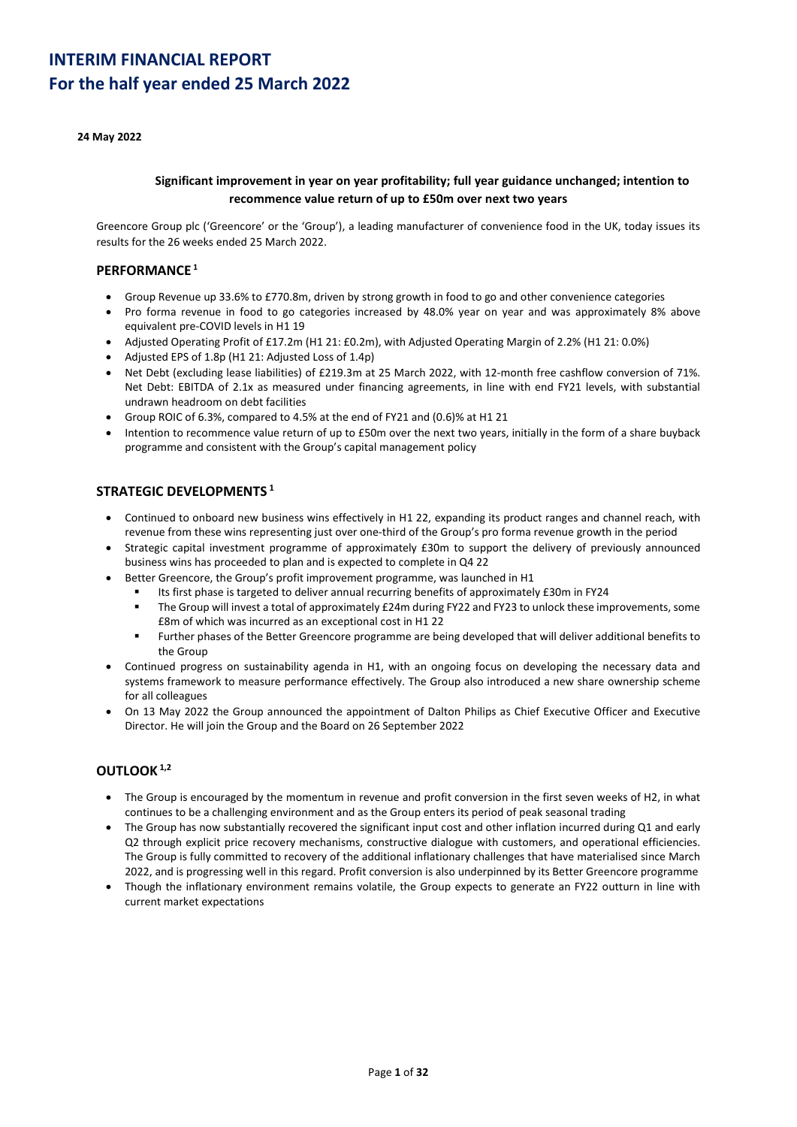### **24 May 2022**

### **Significant improvement in year on year profitability; full year guidance unchanged; intention to recommence value return of up to £50m over next two years**

Greencore Group plc ('Greencore' or the 'Group'), a leading manufacturer of convenience food in the UK, today issues its results for the 26 weeks ended 25 March 2022.

### **PERFORMANCE <sup>1</sup>**

- Group Revenue up 33.6% to £770.8m, driven by strong growth in food to go and other convenience categories
- Pro forma revenue in food to go categories increased by 48.0% year on year and was approximately 8% above equivalent pre-COVID levels in H1 19
- Adjusted Operating Profit of £17.2m (H1 21: £0.2m), with Adjusted Operating Margin of 2.2% (H1 21: 0.0%)
- Adjusted EPS of 1.8p (H1 21: Adjusted Loss of 1.4p)
- Net Debt (excluding lease liabilities) of £219.3m at 25 March 2022, with 12-month free cashflow conversion of 71%. Net Debt: EBITDA of 2.1x as measured under financing agreements, in line with end FY21 levels, with substantial undrawn headroom on debt facilities
- Group ROIC of 6.3%, compared to 4.5% at the end of FY21 and (0.6)% at H1 21
- Intention to recommence value return of up to £50m over the next two years, initially in the form of a share buyback programme and consistent with the Group's capital management policy

### **STRATEGIC DEVELOPMENTS <sup>1</sup>**

- Continued to onboard new business wins effectively in H1 22, expanding its product ranges and channel reach, with revenue from these wins representing just over one-third of the Group's pro forma revenue growth in the period
- Strategic capital investment programme of approximately £30m to support the delivery of previously announced business wins has proceeded to plan and is expected to complete in Q4 22
- Better Greencore, the Group's profit improvement programme, was launched in H1
	- Its first phase is targeted to deliver annual recurring benefits of approximately £30m in FY24
	- The Group will invest a total of approximately £24m during FY22 and FY23 to unlock these improvements, some £8m of which was incurred as an exceptional cost in H1 22
	- Further phases of the Better Greencore programme are being developed that will deliver additional benefits to the Group
- Continued progress on sustainability agenda in H1, with an ongoing focus on developing the necessary data and systems framework to measure performance effectively. The Group also introduced a new share ownership scheme for all colleagues
- On 13 May 2022 the Group announced the appointment of Dalton Philips as Chief Executive Officer and Executive Director. He will join the Group and the Board on 26 September 2022

## **OUTLOOK 1,2**

- The Group is encouraged by the momentum in revenue and profit conversion in the first seven weeks of H2, in what continues to be a challenging environment and as the Group enters its period of peak seasonal trading
- The Group has now substantially recovered the significant input cost and other inflation incurred during Q1 and early Q2 through explicit price recovery mechanisms, constructive dialogue with customers, and operational efficiencies. The Group is fully committed to recovery of the additional inflationary challenges that have materialised since March 2022, and is progressing well in this regard. Profit conversion is also underpinned by its Better Greencore programme
- Though the inflationary environment remains volatile, the Group expects to generate an FY22 outturn in line with current market expectations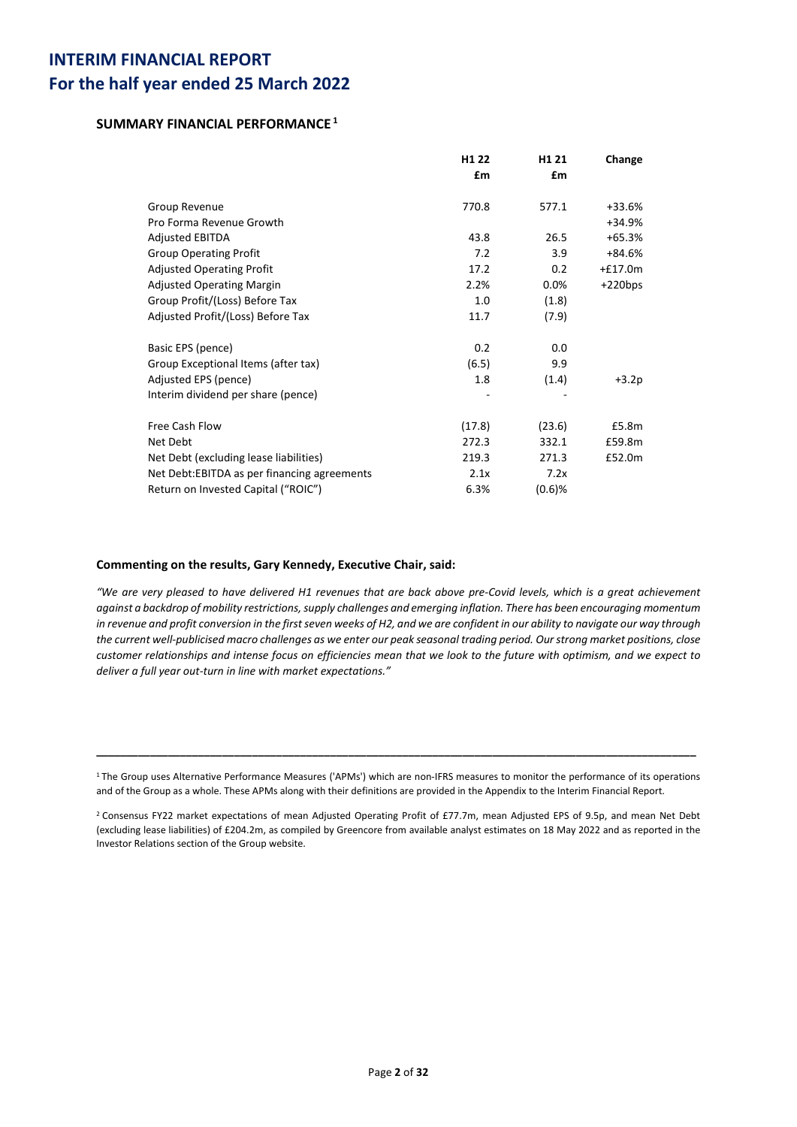## **SUMMARY FINANCIAL PERFORMANCE <sup>1</sup>**

|                                              | H <sub>1</sub> 22 | H <sub>1</sub> 21 | Change    |
|----------------------------------------------|-------------------|-------------------|-----------|
|                                              | £m                | £m                |           |
| Group Revenue                                | 770.8             | 577.1             | +33.6%    |
| Pro Forma Revenue Growth                     |                   |                   | $+34.9%$  |
| <b>Adjusted EBITDA</b>                       | 43.8              | 26.5              | $+65.3%$  |
| <b>Group Operating Profit</b>                | 7.2               | 3.9               | +84.6%    |
| <b>Adjusted Operating Profit</b>             | 17.2              | 0.2               | $+£17.0m$ |
| <b>Adjusted Operating Margin</b>             | 2.2%              | 0.0%              | $+220bps$ |
| Group Profit/(Loss) Before Tax               | 1.0               | (1.8)             |           |
| Adjusted Profit/(Loss) Before Tax            | 11.7              | (7.9)             |           |
| Basic EPS (pence)                            | 0.2               | 0.0               |           |
| Group Exceptional Items (after tax)          | (6.5)             | 9.9               |           |
| Adjusted EPS (pence)                         | 1.8               | (1.4)             | $+3.2p$   |
| Interim dividend per share (pence)           |                   |                   |           |
| Free Cash Flow                               | (17.8)            | (23.6)            | £5.8m     |
| Net Debt                                     | 272.3             | 332.1             | £59.8m    |
| Net Debt (excluding lease liabilities)       | 219.3             | 271.3             | £52.0m    |
| Net Debt: EBITDA as per financing agreements | 2.1x              | 7.2x              |           |
| Return on Invested Capital ("ROIC")          | 6.3%              | $(0.6)$ %         |           |

### **Commenting on the results, Gary Kennedy, Executive Chair, said:**

*"We are very pleased to have delivered H1 revenues that are back above pre-Covid levels, which is a great achievement against a backdrop of mobility restrictions, supply challenges and emerging inflation. There has been encouraging momentum in revenue and profit conversion in the first seven weeks of H2, and we are confident in our ability to navigate our way through the current well-publicised macro challenges as we enter our peak seasonal trading period. Our strong market positions, close customer relationships and intense focus on efficiencies mean that we look to the future with optimism, and we expect to deliver a full year out-turn in line with market expectations."*

**\_\_\_\_\_\_\_\_\_\_\_\_\_\_\_\_\_\_\_\_\_\_\_\_\_\_\_\_\_\_\_\_\_\_\_\_\_\_\_\_\_\_\_\_\_\_\_\_\_\_\_\_\_\_\_\_\_\_\_\_\_\_\_\_\_\_\_\_\_\_\_\_\_\_\_\_\_\_\_\_\_\_\_\_\_\_\_\_\_\_\_\_\_\_\_\_\_\_\_\_**

<sup>1</sup> The Group uses Alternative Performance Measures ('APMs') which are non-IFRS measures to monitor the performance of its operations and of the Group as a whole. These APMs along with their definitions are provided in the Appendix to the Interim Financial Report.

<sup>2</sup> Consensus FY22 market expectations of mean Adjusted Operating Profit of £77.7m, mean Adjusted EPS of 9.5p, and mean Net Debt (excluding lease liabilities) of £204.2m, as compiled by Greencore from available analyst estimates on 18 May 2022 and as reported in the Investor Relations section of the Group website.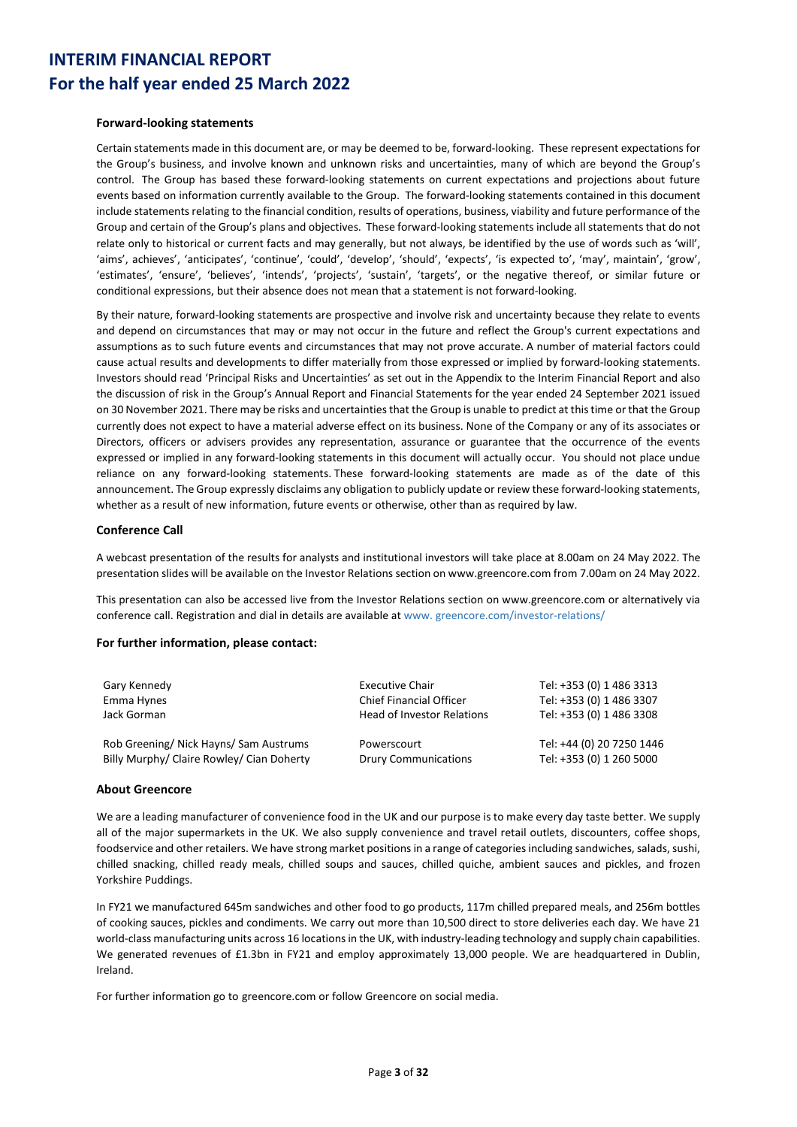### **Forward‐looking statements**

Certain statements made in this document are, or may be deemed to be, forward-looking. These represent expectations for the Group's business, and involve known and unknown risks and uncertainties, many of which are beyond the Group's control. The Group has based these forward-looking statements on current expectations and projections about future events based on information currently available to the Group. The forward-looking statements contained in this document include statements relating to the financial condition, results of operations, business, viability and future performance of the Group and certain of the Group's plans and objectives. These forward-looking statements include all statements that do not relate only to historical or current facts and may generally, but not always, be identified by the use of words such as 'will', 'aims', achieves', 'anticipates', 'continue', 'could', 'develop', 'should', 'expects', 'is expected to', 'may', maintain', 'grow', 'estimates', 'ensure', 'believes', 'intends', 'projects', 'sustain', 'targets', or the negative thereof, or similar future or conditional expressions, but their absence does not mean that a statement is not forward-looking.

By their nature, forward-looking statements are prospective and involve risk and uncertainty because they relate to events and depend on circumstances that may or may not occur in the future and reflect the Group's current expectations and assumptions as to such future events and circumstances that may not prove accurate. A number of material factors could cause actual results and developments to differ materially from those expressed or implied by forward-looking statements. Investors should read 'Principal Risks and Uncertainties' as set out in the Appendix to the Interim Financial Report and also the discussion of risk in the Group's Annual Report and Financial Statements for the year ended 24 September 2021 issued on 30 November 2021. There may be risks and uncertainties that the Group is unable to predict at this time or that the Group currently does not expect to have a material adverse effect on its business. None of the Company or any of its associates or Directors, officers or advisers provides any representation, assurance or guarantee that the occurrence of the events expressed or implied in any forward-looking statements in this document will actually occur. You should not place undue reliance on any forward-looking statements. These forward-looking statements are made as of the date of this announcement. The Group expressly disclaims any obligation to publicly update or review these forward-looking statements, whether as a result of new information, future events or otherwise, other than as required by law.

### **Conference Call**

A webcast presentation of the results for analysts and institutional investors will take place at 8.00am on 24 May 2022. The presentation slides will be available on the Investor Relations section on www.greencore.com from 7.00am on 24 May 2022.

This presentation can also be accessed live from the Investor Relations section on www.greencore.com or alternatively via conference call. Registration and dial in details are available at www. greencore.com/investor-relations/

### **For further information, please contact:**

| Gary Kennedy                              | <b>Executive Chair</b>            | Tel: +353 (0) 1 486 3313  |
|-------------------------------------------|-----------------------------------|---------------------------|
| Emma Hynes                                | <b>Chief Financial Officer</b>    | Tel: +353 (0) 1 486 3307  |
| Jack Gorman                               | <b>Head of Investor Relations</b> | Tel: +353 (0) 1 486 3308  |
| Rob Greening/ Nick Hayns/ Sam Austrums    | Powerscourt                       | Tel: +44 (0) 20 7250 1446 |
| Billy Murphy/ Claire Rowley/ Cian Doherty | <b>Drury Communications</b>       | Tel: +353 (0) 1 260 5000  |

### **About Greencore**

We are a leading manufacturer of convenience food in the UK and our purpose is to make every day taste better. We supply all of the major supermarkets in the UK. We also supply convenience and travel retail outlets, discounters, coffee shops, foodservice and other retailers. We have strong market positions in a range of categories including sandwiches, salads, sushi, chilled snacking, chilled ready meals, chilled soups and sauces, chilled quiche, ambient sauces and pickles, and frozen Yorkshire Puddings.

In FY21 we manufactured 645m sandwiches and other food to go products, 117m chilled prepared meals, and 256m bottles of cooking sauces, pickles and condiments. We carry out more than 10,500 direct to store deliveries each day. We have 21 world-class manufacturing units across 16 locationsin the UK, with industry-leading technology and supply chain capabilities. We generated revenues of £1.3bn in FY21 and employ approximately 13,000 people. We are headquartered in Dublin, Ireland.

For further information go to greencore.com or follow Greencore on social media.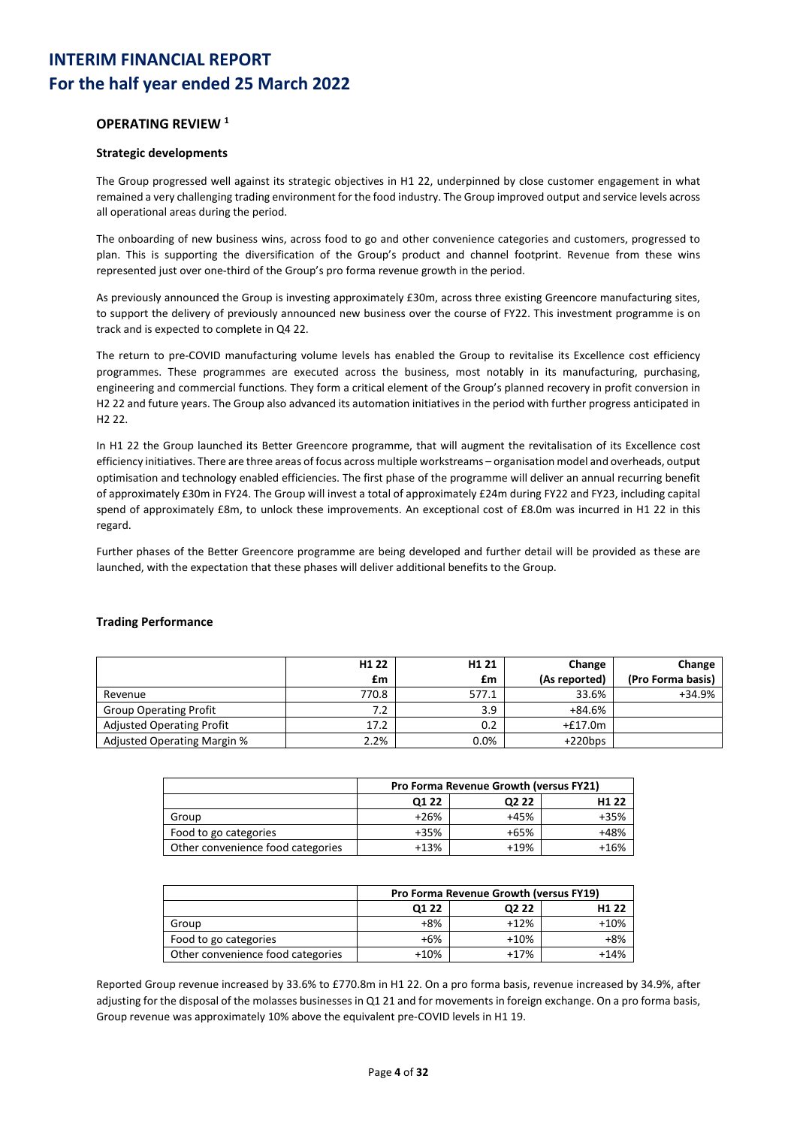## **OPERATING REVIEW 1**

### **Strategic developments**

The Group progressed well against its strategic objectives in H1 22, underpinned by close customer engagement in what remained a very challenging trading environment for the food industry. The Group improved output and service levels across all operational areas during the period.

The onboarding of new business wins, across food to go and other convenience categories and customers, progressed to plan. This is supporting the diversification of the Group's product and channel footprint. Revenue from these wins represented just over one-third of the Group's pro forma revenue growth in the period.

As previously announced the Group is investing approximately £30m, across three existing Greencore manufacturing sites, to support the delivery of previously announced new business over the course of FY22. This investment programme is on track and is expected to complete in Q4 22.

The return to pre-COVID manufacturing volume levels has enabled the Group to revitalise its Excellence cost efficiency programmes. These programmes are executed across the business, most notably in its manufacturing, purchasing, engineering and commercial functions. They form a critical element of the Group's planned recovery in profit conversion in H2 22 and future years. The Group also advanced its automation initiatives in the period with further progress anticipated in H2 22.

In H1 22 the Group launched its Better Greencore programme, that will augment the revitalisation of its Excellence cost efficiency initiatives. There are three areas of focus across multiple workstreams – organisation model and overheads, output optimisation and technology enabled efficiencies. The first phase of the programme will deliver an annual recurring benefit of approximately £30m in FY24. The Group will invest a total of approximately £24m during FY22 and FY23, including capital spend of approximately £8m, to unlock these improvements. An exceptional cost of £8.0m was incurred in H1 22 in this regard.

Further phases of the Better Greencore programme are being developed and further detail will be provided as these are launched, with the expectation that these phases will deliver additional benefits to the Group.

|                                  | H <sub>1</sub> 22 | H <sub>1</sub> 21 | Change        | Change            |
|----------------------------------|-------------------|-------------------|---------------|-------------------|
|                                  | £m                | £m                | (As reported) | (Pro Forma basis) |
| Revenue                          | 770.8             | 577.1             | 33.6%         | +34.9%            |
| <b>Group Operating Profit</b>    | 7.2               | 3.9               | $+84.6%$      |                   |
| <b>Adjusted Operating Profit</b> | 17.2              | 0.2               | $+£17.0m$     |                   |
| Adjusted Operating Margin %      | 2.2%              | 0.0%              | $+220bps$     |                   |

### **Trading Performance**

|                                   | Pro Forma Revenue Growth (versus FY21) |        |        |  |  |  |
|-----------------------------------|----------------------------------------|--------|--------|--|--|--|
|                                   | H <sub>1</sub> 22<br>Q1 22<br>Q2 22    |        |        |  |  |  |
| Group                             | $+26%$                                 | $+45%$ | $+35%$ |  |  |  |
| Food to go categories             | $+35%$                                 | $+65%$ | +48%   |  |  |  |
| Other convenience food categories | $+13%$                                 | $+19%$ | $+16%$ |  |  |  |

|                                   | <b>Pro Forma Revenue Growth (versus FY19)</b> |        |                   |  |  |
|-----------------------------------|-----------------------------------------------|--------|-------------------|--|--|
|                                   | 01 22                                         | Q2 22  | H <sub>1</sub> 22 |  |  |
| Group                             | +8%                                           | $+12%$ | $+10%$            |  |  |
| Food to go categories             | $+6%$                                         | $+10%$ | +8%               |  |  |
| Other convenience food categories | $+10%$                                        | $+17%$ | $+14%$            |  |  |

Reported Group revenue increased by 33.6% to £770.8m in H1 22. On a pro forma basis, revenue increased by 34.9%, after adjusting for the disposal of the molasses businesses in Q1 21 and for movements in foreign exchange. On a pro forma basis, Group revenue was approximately 10% above the equivalent pre-COVID levels in H1 19.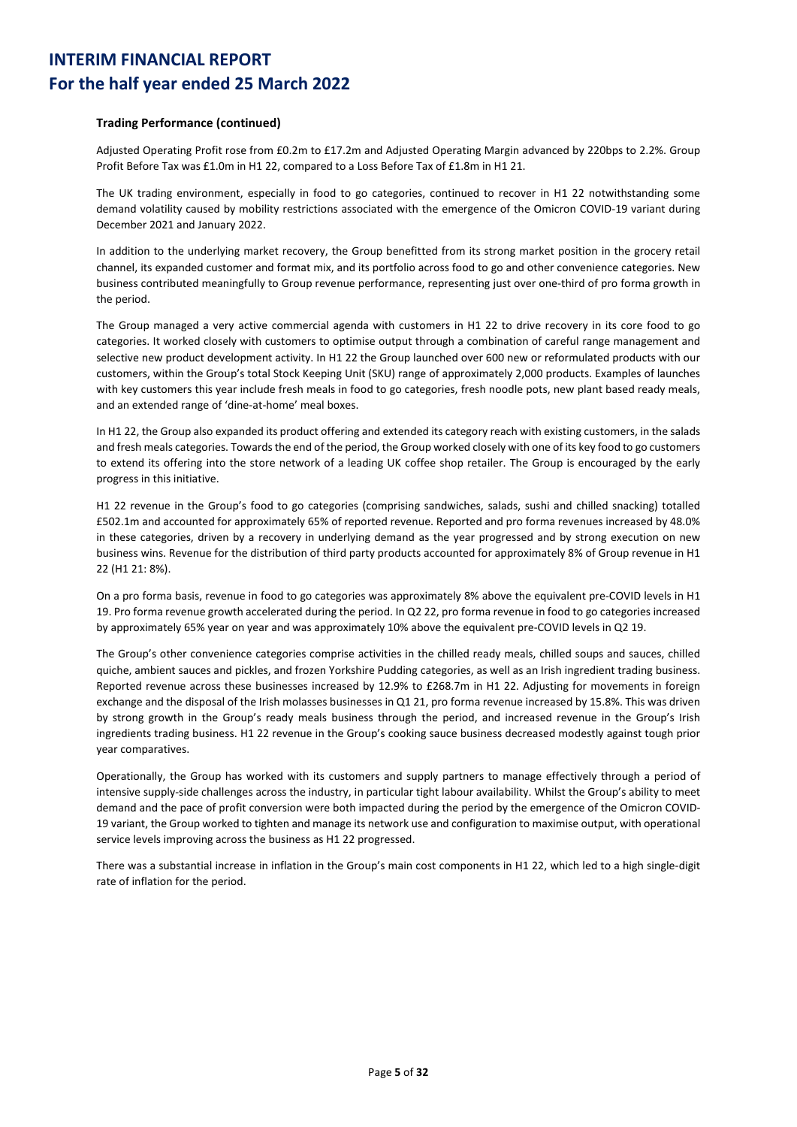### **Trading Performance (continued)**

Adjusted Operating Profit rose from £0.2m to £17.2m and Adjusted Operating Margin advanced by 220bps to 2.2%. Group Profit Before Tax was £1.0m in H1 22, compared to a Loss Before Tax of £1.8m in H1 21.

The UK trading environment, especially in food to go categories, continued to recover in H1 22 notwithstanding some demand volatility caused by mobility restrictions associated with the emergence of the Omicron COVID-19 variant during December 2021 and January 2022.

In addition to the underlying market recovery, the Group benefitted from its strong market position in the grocery retail channel, its expanded customer and format mix, and its portfolio across food to go and other convenience categories. New business contributed meaningfully to Group revenue performance, representing just over one-third of pro forma growth in the period.

The Group managed a very active commercial agenda with customers in H1 22 to drive recovery in its core food to go categories. It worked closely with customers to optimise output through a combination of careful range management and selective new product development activity. In H1 22 the Group launched over 600 new or reformulated products with our customers, within the Group's total Stock Keeping Unit (SKU) range of approximately 2,000 products. Examples of launches with key customers this year include fresh meals in food to go categories, fresh noodle pots, new plant based ready meals, and an extended range of 'dine-at-home' meal boxes.

In H1 22, the Group also expanded its product offering and extended its category reach with existing customers, in the salads and fresh meals categories. Towards the end of the period, the Group worked closely with one of its key food to go customers to extend its offering into the store network of a leading UK coffee shop retailer. The Group is encouraged by the early progress in this initiative.

H1 22 revenue in the Group's food to go categories (comprising sandwiches, salads, sushi and chilled snacking) totalled £502.1m and accounted for approximately 65% of reported revenue. Reported and pro forma revenues increased by 48.0% in these categories, driven by a recovery in underlying demand as the year progressed and by strong execution on new business wins. Revenue for the distribution of third party products accounted for approximately 8% of Group revenue in H1 22 (H1 21: 8%).

On a pro forma basis, revenue in food to go categories was approximately 8% above the equivalent pre-COVID levels in H1 19. Pro forma revenue growth accelerated during the period. In Q2 22, pro forma revenue in food to go categories increased by approximately 65% year on year and was approximately 10% above the equivalent pre-COVID levels in Q2 19.

The Group's other convenience categories comprise activities in the chilled ready meals, chilled soups and sauces, chilled quiche, ambient sauces and pickles, and frozen Yorkshire Pudding categories, as well as an Irish ingredient trading business. Reported revenue across these businesses increased by 12.9% to £268.7m in H1 22. Adjusting for movements in foreign exchange and the disposal of the Irish molasses businesses in Q1 21, pro forma revenue increased by 15.8%. This was driven by strong growth in the Group's ready meals business through the period, and increased revenue in the Group's Irish ingredients trading business. H1 22 revenue in the Group's cooking sauce business decreased modestly against tough prior year comparatives.

Operationally, the Group has worked with its customers and supply partners to manage effectively through a period of intensive supply-side challenges across the industry, in particular tight labour availability. Whilst the Group's ability to meet demand and the pace of profit conversion were both impacted during the period by the emergence of the Omicron COVID-19 variant, the Group worked to tighten and manage its network use and configuration to maximise output, with operational service levels improving across the business as H1 22 progressed.

There was a substantial increase in inflation in the Group's main cost components in H1 22, which led to a high single-digit rate of inflation for the period.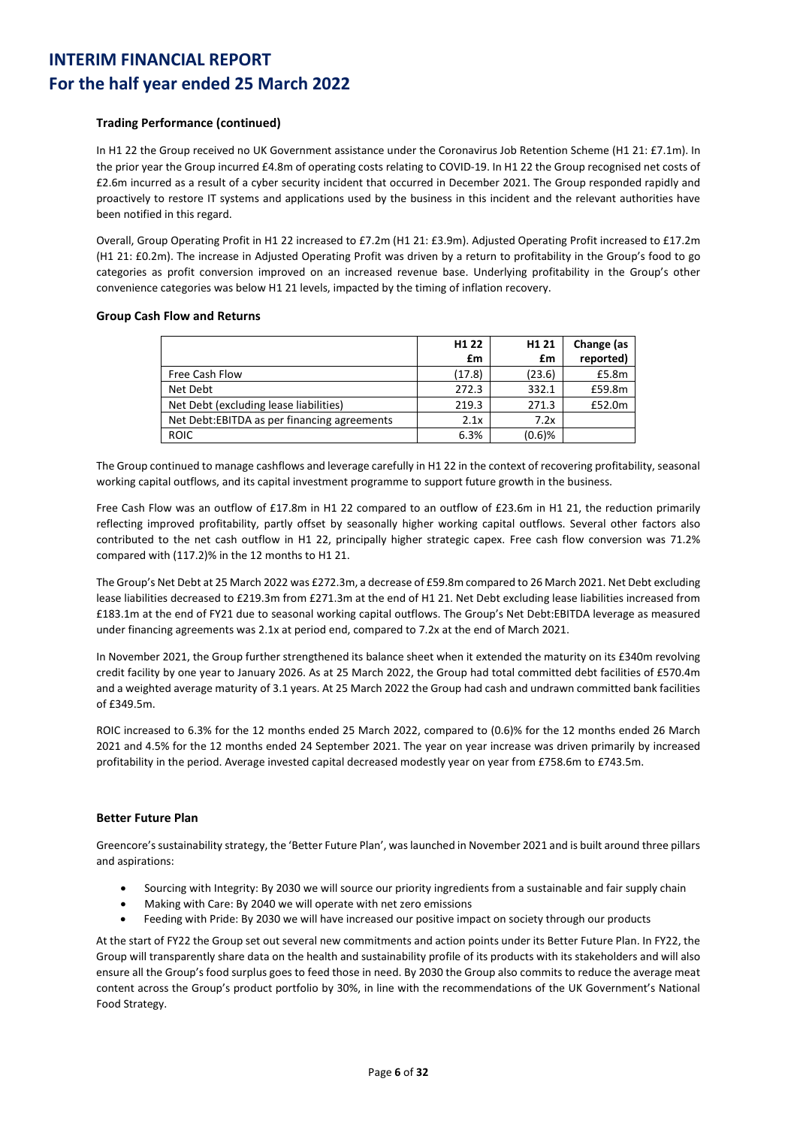### **Trading Performance (continued)**

In H1 22 the Group received no UK Government assistance under the Coronavirus Job Retention Scheme (H1 21: £7.1m). In the prior year the Group incurred £4.8m of operating costs relating to COVID-19. In H1 22 the Group recognised net costs of £2.6m incurred as a result of a cyber security incident that occurred in December 2021. The Group responded rapidly and proactively to restore IT systems and applications used by the business in this incident and the relevant authorities have been notified in this regard.

Overall, Group Operating Profit in H1 22 increased to £7.2m (H1 21: £3.9m). Adjusted Operating Profit increased to £17.2m (H1 21: £0.2m). The increase in Adjusted Operating Profit was driven by a return to profitability in the Group's food to go categories as profit conversion improved on an increased revenue base. Underlying profitability in the Group's other convenience categories was below H1 21 levels, impacted by the timing of inflation recovery.

### **Group Cash Flow and Returns**

|                                              | H <sub>1</sub> 22 | H <sub>1</sub> 21 | Change (as |
|----------------------------------------------|-------------------|-------------------|------------|
|                                              | £m                | £m                | reported)  |
| Free Cash Flow                               | (17.8)            | (23.6)            | £5.8m      |
| Net Debt                                     | 272.3             | 332.1             | £59.8m     |
| Net Debt (excluding lease liabilities)       | 219.3             | 271.3             | £52.0m     |
| Net Debt: EBITDA as per financing agreements | 2.1x              | 7.2x              |            |
| <b>ROIC</b>                                  | 6.3%              | $(0.6)$ %         |            |

The Group continued to manage cashflows and leverage carefully in H1 22 in the context of recovering profitability, seasonal working capital outflows, and its capital investment programme to support future growth in the business.

Free Cash Flow was an outflow of £17.8m in H1 22 compared to an outflow of £23.6m in H1 21, the reduction primarily reflecting improved profitability, partly offset by seasonally higher working capital outflows. Several other factors also contributed to the net cash outflow in H1 22, principally higher strategic capex. Free cash flow conversion was 71.2% compared with (117.2)% in the 12 months to H1 21.

The Group's Net Debt at 25 March 2022 was £272.3m, a decrease of £59.8m compared to 26 March 2021. Net Debt excluding lease liabilities decreased to £219.3m from £271.3m at the end of H1 21. Net Debt excluding lease liabilities increased from £183.1m at the end of FY21 due to seasonal working capital outflows. The Group's Net Debt:EBITDA leverage as measured under financing agreements was 2.1x at period end, compared to 7.2x at the end of March 2021.

In November 2021, the Group further strengthened its balance sheet when it extended the maturity on its £340m revolving credit facility by one year to January 2026. As at 25 March 2022, the Group had total committed debt facilities of £570.4m and a weighted average maturity of 3.1 years. At 25 March 2022 the Group had cash and undrawn committed bank facilities of £349.5m.

ROIC increased to 6.3% for the 12 months ended 25 March 2022, compared to (0.6)% for the 12 months ended 26 March 2021 and 4.5% for the 12 months ended 24 September 2021. The year on year increase was driven primarily by increased profitability in the period. Average invested capital decreased modestly year on year from £758.6m to £743.5m.

### **Better Future Plan**

Greencore's sustainability strategy, the 'Better Future Plan', was launched in November 2021 and is built around three pillars and aspirations:

- Sourcing with Integrity: By 2030 we will source our priority ingredients from a sustainable and fair supply chain
- Making with Care: By 2040 we will operate with net zero emissions
- Feeding with Pride: By 2030 we will have increased our positive impact on society through our products

At the start of FY22 the Group set out several new commitments and action points under its Better Future Plan. In FY22, the Group will transparently share data on the health and sustainability profile of its products with its stakeholders and will also ensure all the Group's food surplus goes to feed those in need. By 2030 the Group also commits to reduce the average meat content across the Group's product portfolio by 30%, in line with the recommendations of the UK Government's National Food Strategy.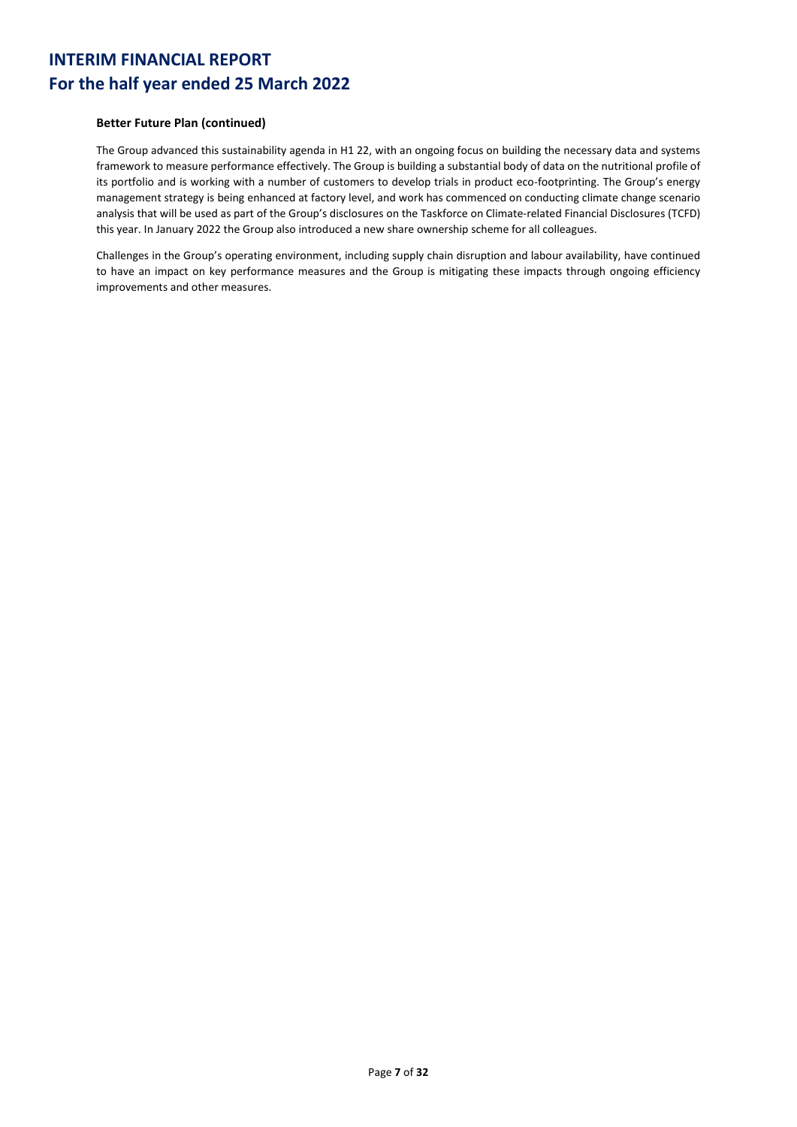### **Better Future Plan (continued)**

The Group advanced this sustainability agenda in H1 22, with an ongoing focus on building the necessary data and systems framework to measure performance effectively. The Group is building a substantial body of data on the nutritional profile of its portfolio and is working with a number of customers to develop trials in product eco-footprinting. The Group's energy management strategy is being enhanced at factory level, and work has commenced on conducting climate change scenario analysis that will be used as part of the Group's disclosures on the Taskforce on Climate-related Financial Disclosures (TCFD) this year. In January 2022 the Group also introduced a new share ownership scheme for all colleagues.

Challenges in the Group's operating environment, including supply chain disruption and labour availability, have continued to have an impact on key performance measures and the Group is mitigating these impacts through ongoing efficiency improvements and other measures.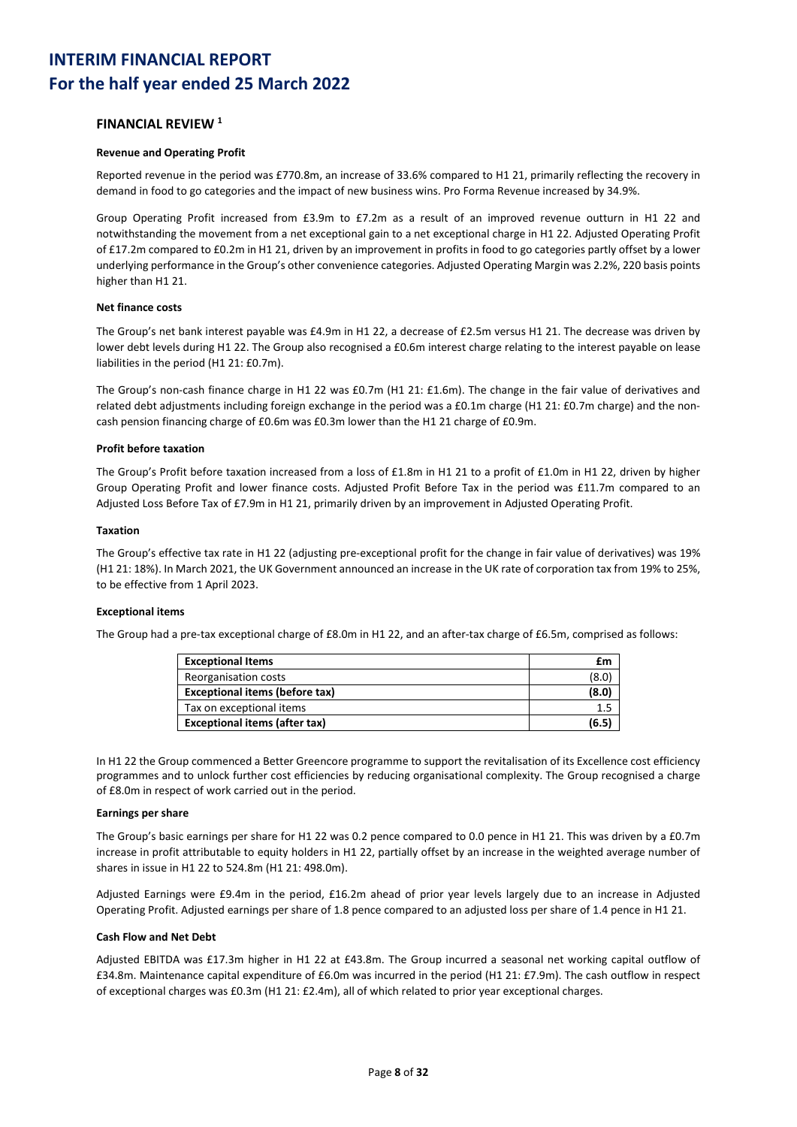### **FINANCIAL REVIEW 1**

### **Revenue and Operating Profit**

Reported revenue in the period was £770.8m, an increase of 33.6% compared to H1 21, primarily reflecting the recovery in demand in food to go categories and the impact of new business wins. Pro Forma Revenue increased by 34.9%.

Group Operating Profit increased from £3.9m to £7.2m as a result of an improved revenue outturn in H1 22 and notwithstanding the movement from a net exceptional gain to a net exceptional charge in H1 22. Adjusted Operating Profit of £17.2m compared to £0.2m in H1 21, driven by an improvement in profits in food to go categories partly offset by a lower underlying performance in the Group's other convenience categories. Adjusted Operating Margin was 2.2%, 220 basis points higher than H1 21.

### **Net finance costs**

The Group's net bank interest payable was £4.9m in H1 22, a decrease of £2.5m versus H1 21. The decrease was driven by lower debt levels during H1 22. The Group also recognised a £0.6m interest charge relating to the interest payable on lease liabilities in the period (H1 21: £0.7m).

The Group's non-cash finance charge in H1 22 was £0.7m (H1 21: £1.6m). The change in the fair value of derivatives and related debt adjustments including foreign exchange in the period was a £0.1m charge (H1 21: £0.7m charge) and the noncash pension financing charge of £0.6m was £0.3m lower than the H1 21 charge of £0.9m.

### **Profit before taxation**

The Group's Profit before taxation increased from a loss of £1.8m in H1 21 to a profit of £1.0m in H1 22, driven by higher Group Operating Profit and lower finance costs. Adjusted Profit Before Tax in the period was £11.7m compared to an Adjusted Loss Before Tax of £7.9m in H1 21, primarily driven by an improvement in Adjusted Operating Profit.

### **Taxation**

The Group's effective tax rate in H1 22 (adjusting pre-exceptional profit for the change in fair value of derivatives) was 19% (H1 21: 18%). In March 2021, the UK Government announced an increase in the UK rate of corporation tax from 19% to 25%, to be effective from 1 April 2023.

#### **Exceptional items**

The Group had a pre-tax exceptional charge of £8.0m in H1 22, and an after-tax charge of £6.5m, comprised as follows:

| <b>Exceptional Items</b>              | £m    |
|---------------------------------------|-------|
| Reorganisation costs                  | (8.0) |
| <b>Exceptional items (before tax)</b> | (8.0) |
| Tax on exceptional items              |       |
| <b>Exceptional items (after tax)</b>  | (6.5) |

In H1 22 the Group commenced a Better Greencore programme to support the revitalisation of its Excellence cost efficiency programmes and to unlock further cost efficiencies by reducing organisational complexity. The Group recognised a charge of £8.0m in respect of work carried out in the period.

#### **Earnings per share**

The Group's basic earnings per share for H1 22 was 0.2 pence compared to 0.0 pence in H1 21. This was driven by a £0.7m increase in profit attributable to equity holders in H1 22, partially offset by an increase in the weighted average number of shares in issue in H1 22 to 524.8m (H1 21: 498.0m).

Adjusted Earnings were £9.4m in the period, £16.2m ahead of prior year levels largely due to an increase in Adjusted Operating Profit. Adjusted earnings per share of 1.8 pence compared to an adjusted loss per share of 1.4 pence in H1 21.

#### **Cash Flow and Net Debt**

Adjusted EBITDA was £17.3m higher in H1 22 at £43.8m. The Group incurred a seasonal net working capital outflow of £34.8m. Maintenance capital expenditure of £6.0m was incurred in the period (H1 21: £7.9m). The cash outflow in respect of exceptional charges was £0.3m (H1 21: £2.4m), all of which related to prior year exceptional charges.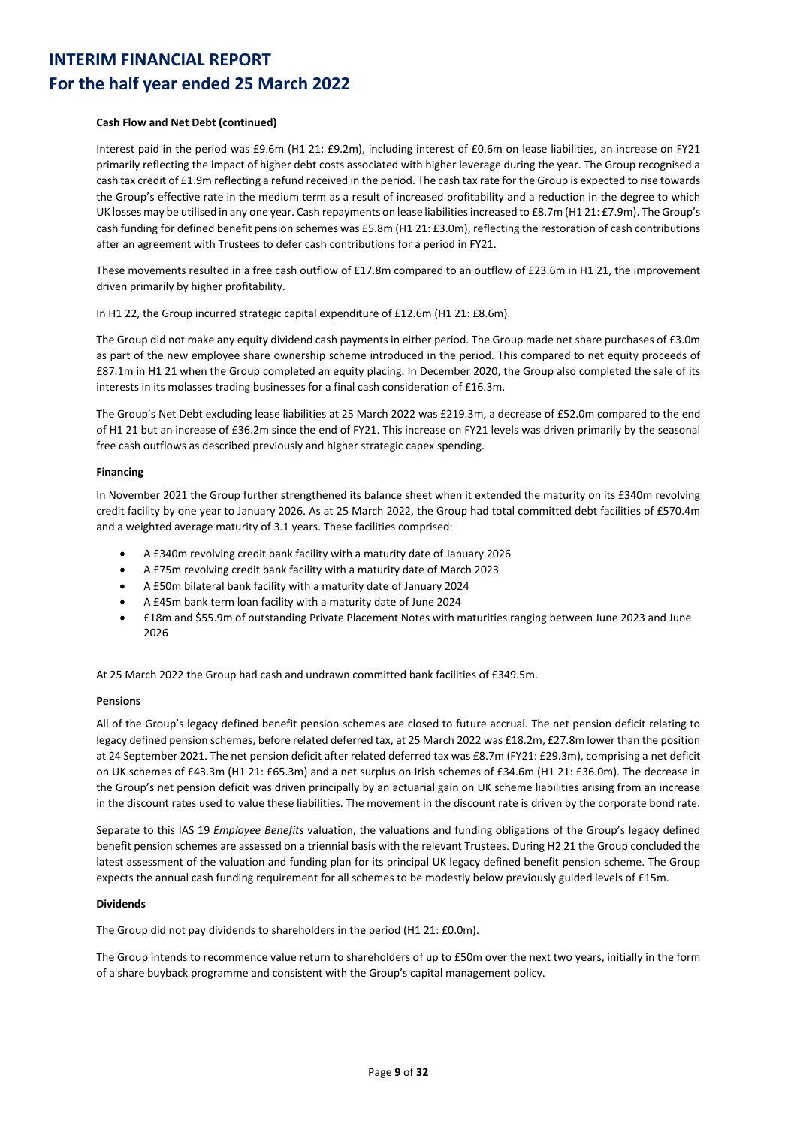### **Cash Flow and Net Debt (continued)**

Interest paid in the period was £9.6m (H1 21: £9.2m), including interest of £0.6m on lease liabilities, an increase on FY21 primarily reflecting the impact of higher debt costs associated with higher leverage during the year. The Group recognised a cash tax credit of £1.9m reflecting a refund received in the period. The cash tax rate for the Group is expected to rise towards the Group's effective rate in the medium term as a result of increased profitability and a reduction in the degree to which UK losses may be utilised in any one year. Cash repayments on lease liabilities increased to £8.7m (H1 21: £7.9m). The Group's cash funding for defined benefit pension schemes was £5.8m (H1 21: £3.0m), reflecting the restoration of cash contributions after an agreement with Trustees to defer cash contributions for a period in FY21.

These movements resulted in a free cash outflow of £17.8m compared to an outflow of £23.6m in H1 21, the improvement driven primarily by higher profitability.

In H1 22, the Group incurred strategic capital expenditure of £12.6m (H1 21: £8.6m).

The Group did not make any equity dividend cash payments in either period. The Group made net share purchases of £3.0m as part of the new employee share ownership scheme introduced in the period. This compared to net equity proceeds of £87.1m in H1 21 when the Group completed an equity placing. In December 2020, the Group also completed the sale of its interests in its molasses trading businesses for a final cash consideration of £16.3m.

The Group's Net Debt excluding lease liabilities at 25 March 2022 was £219.3m, a decrease of £52.0m compared to the end of H1 21 but an increase of £36.2m since the end of FY21. This increase on FY21 levels was driven primarily by the seasonal free cash outflows as described previously and higher strategic capex spending.

### **Financing**

In November 2021 the Group further strengthened its balance sheet when it extended the maturity on its £340m revolving credit facility by one year to January 2026. As at 25 March 2022, the Group had total committed debt facilities of £570.4m and a weighted average maturity of 3.1 years. These facilities comprised:

- A £340m revolving credit bank facility with a maturity date of January 2026
- A £75m revolving credit bank facility with a maturity date of March 2023
- A £50m bilateral bank facility with a maturity date of January 2024
- A £45m bank term loan facility with a maturity date of June 2024
- £18m and \$55.9m of outstanding Private Placement Notes with maturities ranging between June 2023 and June 2026

At 25 March 2022 the Group had cash and undrawn committed bank facilities of £349.5m.

### **Pensions**

All of the Group's legacy defined benefit pension schemes are closed to future accrual. The net pension deficit relating to legacy defined pension schemes, before related deferred tax, at 25 March 2022 was £18.2m, £27.8m lower than the position at 24 September 2021. The net pension deficit after related deferred tax was £8.7m (FY21: £29.3m), comprising a net deficit on UK schemes of £43.3m (H1 21: £65.3m) and a net surplus on Irish schemes of £34.6m (H1 21: £36.0m). The decrease in the Group's net pension deficit was driven principally by an actuarial gain on UK scheme liabilities arising from an increase in the discount rates used to value these liabilities. The movement in the discount rate is driven by the corporate bond rate.

Separate to this IAS 19 *Employee Benefits* valuation, the valuations and funding obligations of the Group's legacy defined benefit pension schemes are assessed on a triennial basis with the relevant Trustees. During H2 21 the Group concluded the latest assessment of the valuation and funding plan for its principal UK legacy defined benefit pension scheme. The Group expects the annual cash funding requirement for all schemes to be modestly below previously guided levels of £15m.

#### **Dividends**

The Group did not pay dividends to shareholders in the period (H1 21: £0.0m).

The Group intends to recommence value return to shareholders of up to £50m over the next two years, initially in the form of a share buyback programme and consistent with the Group's capital management policy.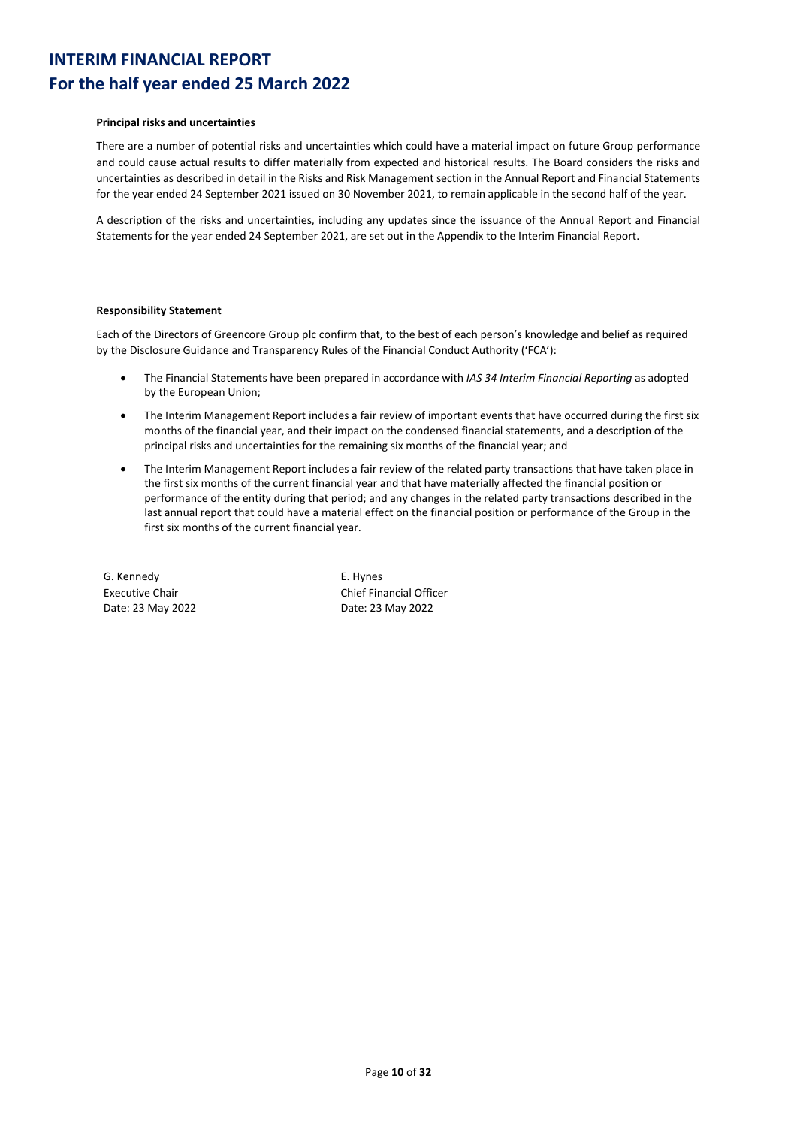### **Principal risks and uncertainties**

There are a number of potential risks and uncertainties which could have a material impact on future Group performance and could cause actual results to differ materially from expected and historical results. The Board considers the risks and uncertainties as described in detail in the Risks and Risk Management section in the Annual Report and Financial Statements for the year ended 24 September 2021 issued on 30 November 2021, to remain applicable in the second half of the year.

A description of the risks and uncertainties, including any updates since the issuance of the Annual Report and Financial Statements for the year ended 24 September 2021, are set out in the Appendix to the Interim Financial Report.

### **Responsibility Statement**

Each of the Directors of Greencore Group plc confirm that, to the best of each person's knowledge and belief as required by the Disclosure Guidance and Transparency Rules of the Financial Conduct Authority ('FCA'):

- The Financial Statements have been prepared in accordance with *IAS 34 Interim Financial Reporting* as adopted by the European Union;
- The Interim Management Report includes a fair review of important events that have occurred during the first six months of the financial year, and their impact on the condensed financial statements, and a description of the principal risks and uncertainties for the remaining six months of the financial year; and
- The Interim Management Report includes a fair review of the related party transactions that have taken place in the first six months of the current financial year and that have materially affected the financial position or performance of the entity during that period; and any changes in the related party transactions described in the last annual report that could have a material effect on the financial position or performance of the Group in the first six months of the current financial year.

G. Kennedy Executive Chair Date: 23 May 2022 E. Hynes Chief Financial Officer Date: 23 May 2022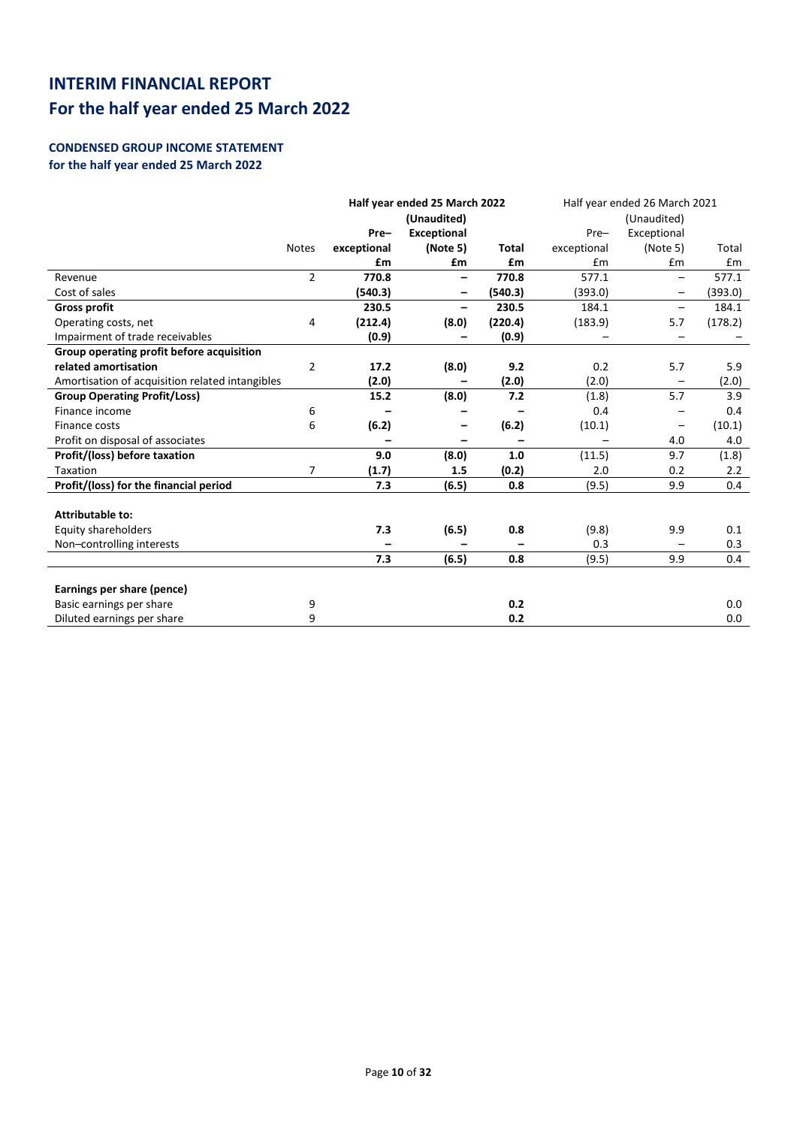## **CONDENSED GROUP INCOME STATEMENT for the half year ended 25 March 2022**

|                                                 | Half year ended 25 March 2022 |             | Half year ended 26 March 2021<br>(Unaudited) |              |             |                          |         |
|-------------------------------------------------|-------------------------------|-------------|----------------------------------------------|--------------|-------------|--------------------------|---------|
|                                                 |                               | Pre-        | (Unaudited)                                  |              |             |                          |         |
|                                                 |                               |             | <b>Exceptional</b>                           |              | Pre-        | Exceptional              |         |
|                                                 | <b>Notes</b>                  | exceptional | (Note 5)                                     | <b>Total</b> | exceptional | (Note 5)                 | Total   |
|                                                 |                               | £m          | £m                                           | £m           | £m          | £m                       | £m      |
| Revenue                                         | $\overline{2}$                | 770.8       | -                                            | 770.8        | 577.1       | $\overline{\phantom{0}}$ | 577.1   |
| Cost of sales                                   |                               | (540.3)     | -                                            | (540.3)      | (393.0)     | $\qquad \qquad -$        | (393.0) |
| <b>Gross profit</b>                             |                               | 230.5       | $\qquad \qquad \blacksquare$                 | 230.5        | 184.1       | $\overline{\phantom{0}}$ | 184.1   |
| Operating costs, net                            | 4                             | (212.4)     | (8.0)                                        | (220.4)      | (183.9)     | 5.7                      | (178.2) |
| Impairment of trade receivables                 |                               | (0.9)       |                                              | (0.9)        |             |                          |         |
| Group operating profit before acquisition       |                               |             |                                              |              |             |                          |         |
| related amortisation                            | $\overline{2}$                | 17.2        | (8.0)                                        | 9.2          | 0.2         | 5.7                      | 5.9     |
| Amortisation of acquisition related intangibles |                               | (2.0)       |                                              | (2.0)        | (2.0)       | $\overline{\phantom{0}}$ | (2.0)   |
| <b>Group Operating Profit/Loss)</b>             |                               | 15.2        | (8.0)                                        | 7.2          | (1.8)       | 5.7                      | 3.9     |
| Finance income                                  | 6                             |             |                                              |              | 0.4         |                          | 0.4     |
| Finance costs                                   | 6                             | (6.2)       |                                              | (6.2)        | (10.1)      | $\qquad \qquad -$        | (10.1)  |
| Profit on disposal of associates                |                               |             | -                                            |              |             | 4.0                      | 4.0     |
| Profit/(loss) before taxation                   |                               | 9.0         | (8.0)                                        | 1.0          | (11.5)      | 9.7                      | (1.8)   |
| Taxation                                        | 7                             | (1.7)       | 1.5                                          | (0.2)        | 2.0         | 0.2                      | 2.2     |
| Profit/(loss) for the financial period          |                               | 7.3         | (6.5)                                        | 0.8          | (9.5)       | 9.9                      | 0.4     |
|                                                 |                               |             |                                              |              |             |                          |         |
| Attributable to:                                |                               |             |                                              |              |             |                          |         |
| Equity shareholders                             |                               | 7.3         | (6.5)                                        | 0.8          | (9.8)       | 9.9                      | 0.1     |
| Non-controlling interests                       |                               |             |                                              |              | 0.3         | $\overline{\phantom{0}}$ | 0.3     |
|                                                 |                               | 7.3         | (6.5)                                        | 0.8          | (9.5)       | 9.9                      | 0.4     |
|                                                 |                               |             |                                              |              |             |                          |         |
| Earnings per share (pence)                      |                               |             |                                              |              |             |                          |         |
| Basic earnings per share                        | 9                             |             |                                              | 0.2          |             |                          | 0.0     |
| Diluted earnings per share                      | 9                             |             |                                              | 0.2          |             |                          | 0.0     |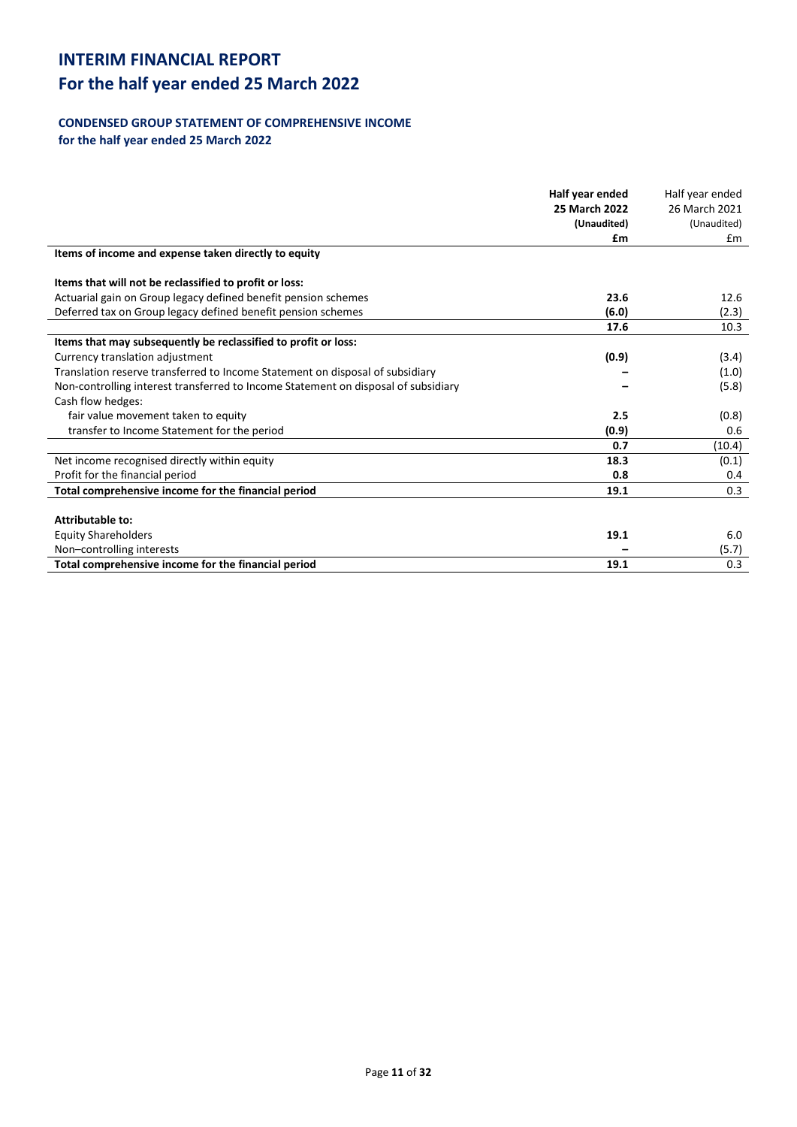# **For the half year ended 25 March 2022**

# **CONDENSED GROUP STATEMENT OF COMPREHENSIVE INCOME**

**for the half year ended 25 March 2022**

|                                                                                    | Half year ended | Half year ended |
|------------------------------------------------------------------------------------|-----------------|-----------------|
|                                                                                    | 25 March 2022   | 26 March 2021   |
|                                                                                    | (Unaudited)     | (Unaudited)     |
|                                                                                    | £m              | £m              |
| Items of income and expense taken directly to equity                               |                 |                 |
| Items that will not be reclassified to profit or loss:                             |                 |                 |
| Actuarial gain on Group legacy defined benefit pension schemes                     | 23.6            | 12.6            |
| Deferred tax on Group legacy defined benefit pension schemes                       | (6.0)           | (2.3)           |
|                                                                                    | 17.6            | 10.3            |
| Items that may subsequently be reclassified to profit or loss:                     |                 |                 |
| Currency translation adjustment                                                    | (0.9)           | (3.4)           |
| Translation reserve transferred to Income Statement on disposal of subsidiary      |                 | (1.0)           |
| Non-controlling interest transferred to Income Statement on disposal of subsidiary |                 | (5.8)           |
| Cash flow hedges:                                                                  |                 |                 |
| fair value movement taken to equity                                                | 2.5             | (0.8)           |
| transfer to Income Statement for the period                                        | (0.9)           | 0.6             |
|                                                                                    | 0.7             | (10.4)          |
| Net income recognised directly within equity                                       | 18.3            | (0.1)           |
| Profit for the financial period                                                    | 0.8             | 0.4             |
| Total comprehensive income for the financial period                                | 19.1            | 0.3             |
| Attributable to:                                                                   |                 |                 |
| <b>Equity Shareholders</b>                                                         | 19.1            | 6.0             |
| Non-controlling interests                                                          |                 | (5.7)           |
| Total comprehensive income for the financial period                                | 19.1            | 0.3             |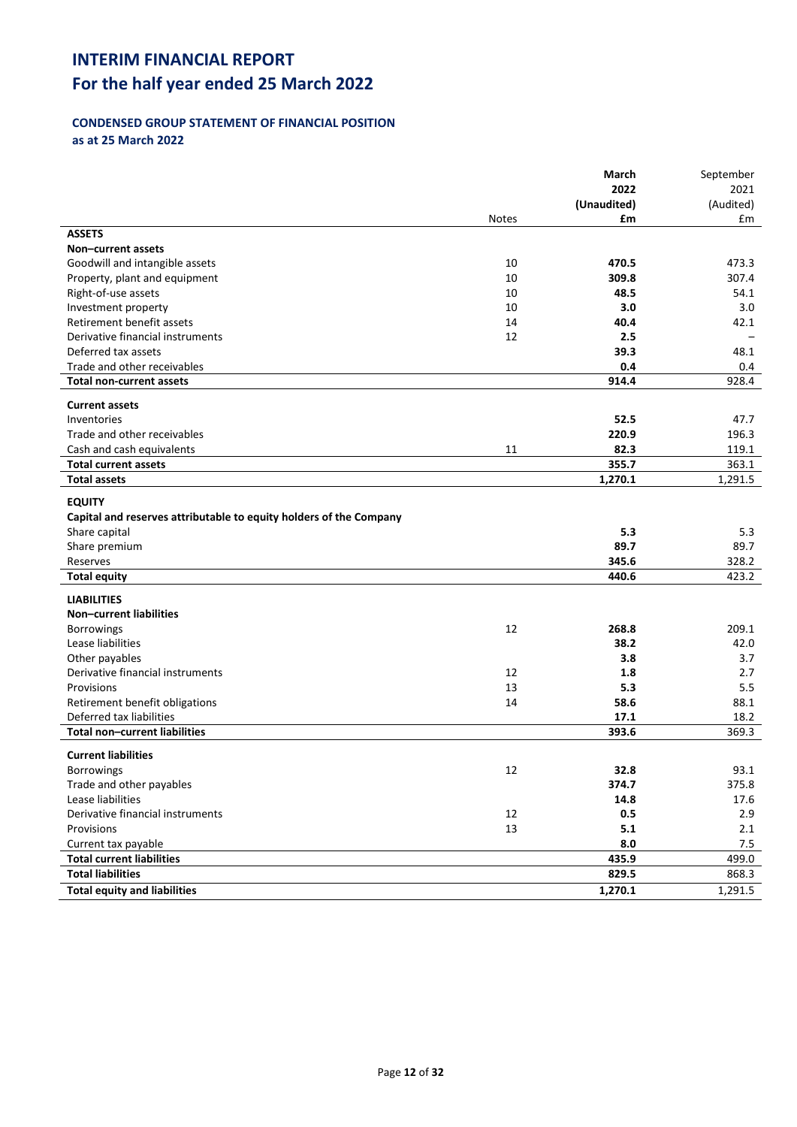# **For the half year ended 25 March 2022**

## **CONDENSED GROUP STATEMENT OF FINANCIAL POSITION as at 25 March 2022**

|                                                                    |              | March       | September |
|--------------------------------------------------------------------|--------------|-------------|-----------|
|                                                                    |              | 2022        | 2021      |
|                                                                    |              | (Unaudited) | (Audited) |
|                                                                    | <b>Notes</b> | £m          | £m        |
| <b>ASSETS</b>                                                      |              |             |           |
| Non-current assets                                                 |              |             |           |
| Goodwill and intangible assets                                     | 10           | 470.5       | 473.3     |
| Property, plant and equipment                                      | 10           | 309.8       | 307.4     |
| Right-of-use assets                                                | 10           | 48.5        | 54.1      |
| Investment property                                                | 10           | 3.0         | 3.0       |
| Retirement benefit assets                                          | 14           | 40.4        | 42.1      |
| Derivative financial instruments                                   | 12           | 2.5         |           |
| Deferred tax assets                                                |              | 39.3        | 48.1      |
| Trade and other receivables                                        |              | 0.4         | 0.4       |
| <b>Total non-current assets</b>                                    |              | 914.4       | 928.4     |
| <b>Current assets</b>                                              |              |             |           |
| Inventories                                                        |              | 52.5        | 47.7      |
| Trade and other receivables                                        |              | 220.9       | 196.3     |
| Cash and cash equivalents                                          | 11           | 82.3        | 119.1     |
| <b>Total current assets</b>                                        |              | 355.7       | 363.1     |
| <b>Total assets</b>                                                |              | 1,270.1     | 1,291.5   |
|                                                                    |              |             |           |
| <b>EQUITY</b>                                                      |              |             |           |
| Capital and reserves attributable to equity holders of the Company |              |             |           |
| Share capital                                                      |              | 5.3         | 5.3       |
| Share premium                                                      |              | 89.7        | 89.7      |
| Reserves                                                           |              | 345.6       | 328.2     |
| <b>Total equity</b>                                                |              | 440.6       | 423.2     |
| <b>LIABILITIES</b>                                                 |              |             |           |
| <b>Non-current liabilities</b>                                     |              |             |           |
| Borrowings                                                         | 12           | 268.8       | 209.1     |
| Lease liabilities                                                  |              | 38.2        | 42.0      |
| Other payables                                                     |              | 3.8         | 3.7       |
| Derivative financial instruments                                   | 12           | 1.8         | 2.7       |
| Provisions                                                         | 13           | 5.3         | 5.5       |
| Retirement benefit obligations                                     | 14           | 58.6        | 88.1      |
| Deferred tax liabilities                                           |              | 17.1        | 18.2      |
| <b>Total non-current liabilities</b>                               |              | 393.6       | 369.3     |
| <b>Current liabilities</b>                                         |              |             |           |
| Borrowings                                                         | 12           | 32.8        | 93.1      |
| Trade and other payables                                           |              | 374.7       | 375.8     |
| Lease liabilities                                                  |              | 14.8        | 17.6      |
| Derivative financial instruments                                   | 12           | $0.5\,$     | 2.9       |
| Provisions                                                         | 13           | 5.1         | 2.1       |
| Current tax payable                                                |              | 8.0         | 7.5       |
| <b>Total current liabilities</b>                                   |              | 435.9       | 499.0     |
| <b>Total liabilities</b>                                           |              | 829.5       | 868.3     |
|                                                                    |              |             |           |
| <b>Total equity and liabilities</b>                                |              | 1,270.1     | 1,291.5   |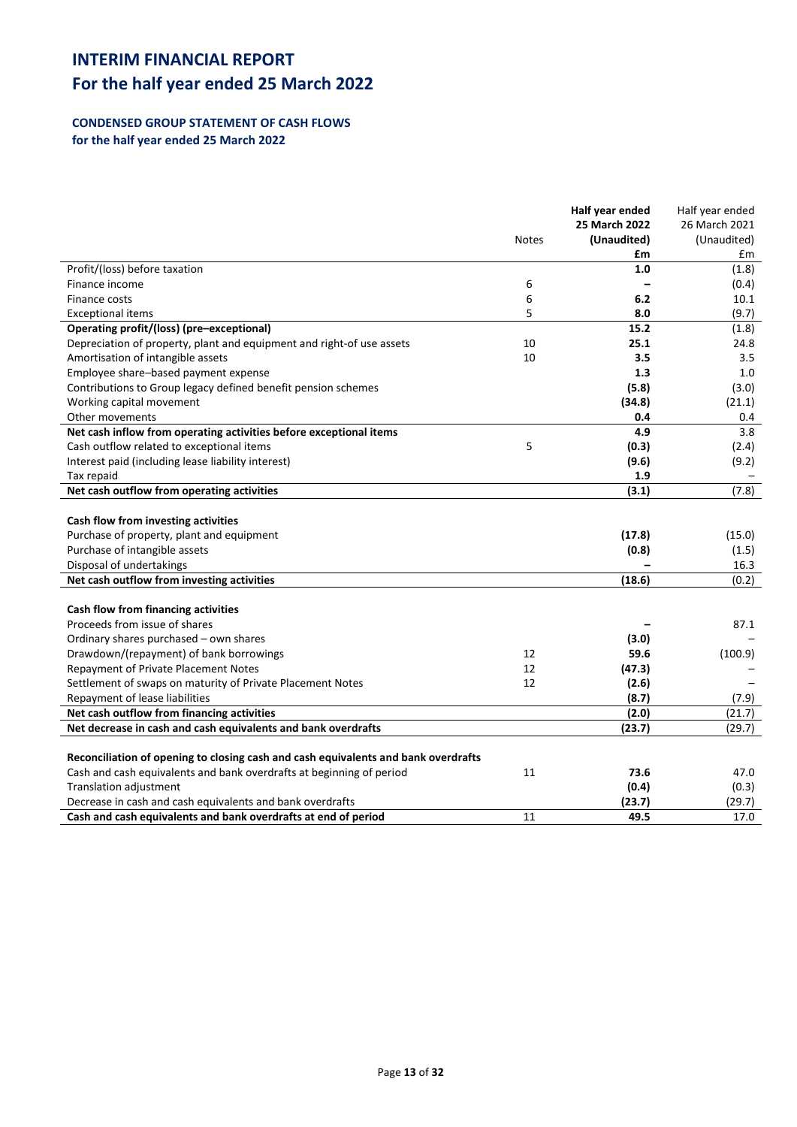## **CONDENSED GROUP STATEMENT OF CASH FLOWS for the half year ended 25 March 2022**

|                                                                                    |              | Half year ended | Half year ended |
|------------------------------------------------------------------------------------|--------------|-----------------|-----------------|
|                                                                                    |              | 25 March 2022   | 26 March 2021   |
|                                                                                    | <b>Notes</b> | (Unaudited)     | (Unaudited)     |
|                                                                                    |              | £m              | £m              |
| Profit/(loss) before taxation                                                      |              | 1.0             | (1.8)           |
| Finance income                                                                     | 6            |                 | (0.4)           |
| Finance costs                                                                      | 6            | 6.2             | 10.1            |
| <b>Exceptional items</b>                                                           | 5            | 8.0             | (9.7)           |
| Operating profit/(loss) (pre-exceptional)                                          |              | 15.2            | (1.8)           |
| Depreciation of property, plant and equipment and right-of use assets              | 10           | 25.1            | 24.8            |
| Amortisation of intangible assets                                                  | 10           | 3.5             | 3.5             |
| Employee share-based payment expense                                               |              | 1.3             | 1.0             |
| Contributions to Group legacy defined benefit pension schemes                      |              | (5.8)           | (3.0)           |
| Working capital movement                                                           |              | (34.8)          | (21.1)          |
| Other movements                                                                    |              | 0.4             | 0.4             |
| Net cash inflow from operating activities before exceptional items                 |              | 4.9             | 3.8             |
| Cash outflow related to exceptional items                                          | 5            | (0.3)           | (2.4)           |
| Interest paid (including lease liability interest)                                 |              | (9.6)           | (9.2)           |
| Tax repaid                                                                         |              | 1.9             |                 |
| Net cash outflow from operating activities                                         |              | (3.1)           | (7.8)           |
|                                                                                    |              |                 |                 |
| Cash flow from investing activities                                                |              |                 |                 |
| Purchase of property, plant and equipment                                          |              | (17.8)          | (15.0)          |
| Purchase of intangible assets                                                      |              | (0.8)           | (1.5)           |
| Disposal of undertakings                                                           |              |                 | 16.3            |
| Net cash outflow from investing activities                                         |              | (18.6)          | (0.2)           |
|                                                                                    |              |                 |                 |
| Cash flow from financing activities                                                |              |                 |                 |
| Proceeds from issue of shares                                                      |              |                 | 87.1            |
| Ordinary shares purchased - own shares                                             |              | (3.0)           |                 |
| Drawdown/(repayment) of bank borrowings                                            | 12           | 59.6            | (100.9)         |
| Repayment of Private Placement Notes                                               | 12           | (47.3)          |                 |
| Settlement of swaps on maturity of Private Placement Notes                         | 12           | (2.6)           |                 |
| Repayment of lease liabilities                                                     |              | (8.7)           | (7.9)           |
| Net cash outflow from financing activities                                         |              | (2.0)           | (21.7)          |
| Net decrease in cash and cash equivalents and bank overdrafts                      |              | (23.7)          | (29.7)          |
|                                                                                    |              |                 |                 |
| Reconciliation of opening to closing cash and cash equivalents and bank overdrafts |              |                 |                 |
| Cash and cash equivalents and bank overdrafts at beginning of period               | 11           | 73.6            | 47.0            |
| Translation adjustment                                                             |              | (0.4)           | (0.3)           |
| Decrease in cash and cash equivalents and bank overdrafts                          |              | (23.7)          | (29.7)          |
| Cash and cash equivalents and bank overdrafts at end of period                     | 11           | 49.5            | 17.0            |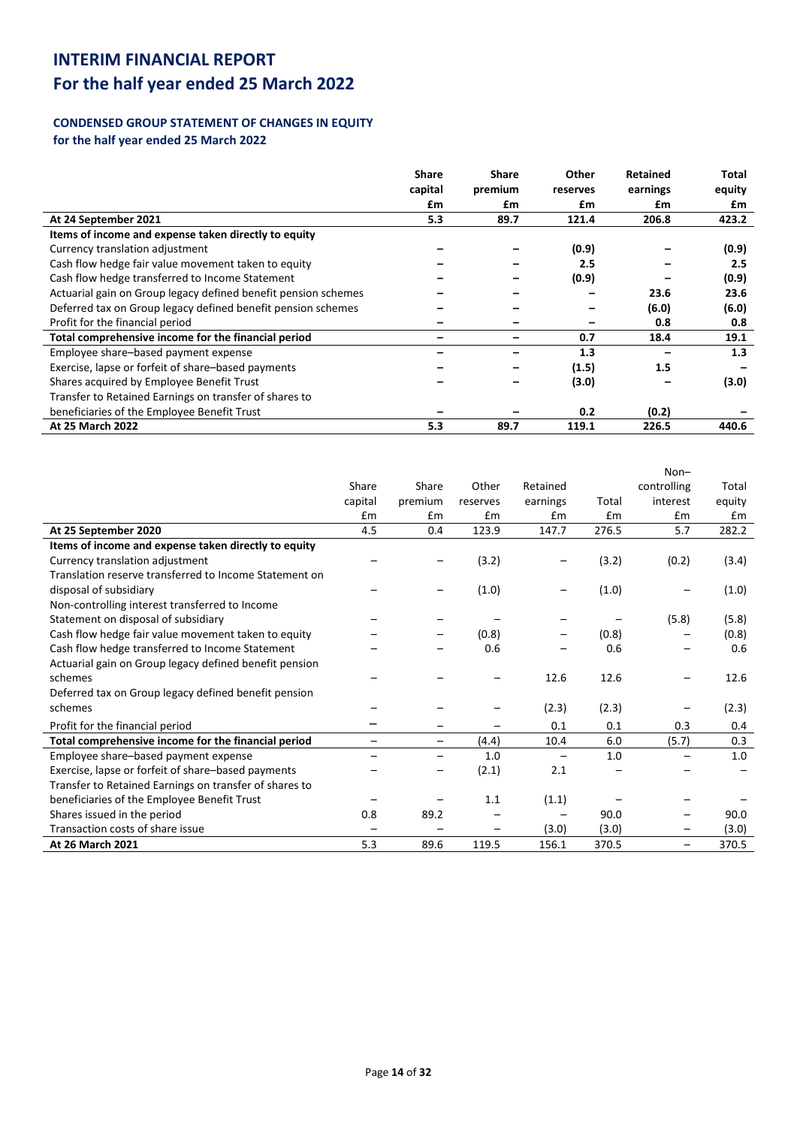# **For the half year ended 25 March 2022**

## **CONDENSED GROUP STATEMENT OF CHANGES IN EQUITY for the half year ended 25 March 2022**

|                                                                | <b>Share</b> | <b>Share</b> | Other    | <b>Retained</b> | Total  |
|----------------------------------------------------------------|--------------|--------------|----------|-----------------|--------|
|                                                                | capital      | premium      | reserves | earnings        | equity |
|                                                                | £m           | £m           | £m       | £m              | £m     |
| At 24 September 2021                                           | 5.3          | 89.7         | 121.4    | 206.8           | 423.2  |
| Items of income and expense taken directly to equity           |              |              |          |                 |        |
| Currency translation adjustment                                |              |              | (0.9)    |                 | (0.9)  |
| Cash flow hedge fair value movement taken to equity            |              |              | 2.5      |                 | 2.5    |
| Cash flow hedge transferred to Income Statement                |              |              | (0.9)    |                 | (0.9)  |
| Actuarial gain on Group legacy defined benefit pension schemes |              |              |          | 23.6            | 23.6   |
| Deferred tax on Group legacy defined benefit pension schemes   |              |              |          | (6.0)           | (6.0)  |
| Profit for the financial period                                |              |              |          | 0.8             | 0.8    |
| Total comprehensive income for the financial period            |              |              | 0.7      | 18.4            | 19.1   |
| Employee share-based payment expense                           |              |              | 1.3      |                 | 1.3    |
| Exercise, lapse or forfeit of share-based payments             |              |              | (1.5)    | 1.5             |        |
| Shares acquired by Employee Benefit Trust                      |              |              | (3.0)    |                 | (3.0)  |
| Transfer to Retained Earnings on transfer of shares to         |              |              |          |                 |        |
| beneficiaries of the Employee Benefit Trust                    |              |              | 0.2      | (0.2)           |        |
| <b>At 25 March 2022</b>                                        | 5.3          | 89.7         | 119.1    | 226.5           | 440.6  |

|                                                        |                          |         |                 |                          |       | $Non-$                   |        |
|--------------------------------------------------------|--------------------------|---------|-----------------|--------------------------|-------|--------------------------|--------|
|                                                        | Share                    | Share   | Other           | Retained                 |       | controlling              | Total  |
|                                                        | capital                  | premium | reserves        | earnings                 | Total | interest                 | equity |
|                                                        | £m                       | Em      | Em              | Em                       | £m    | Em                       | Em     |
| At 25 September 2020                                   | 4.5                      | 0.4     | 123.9           | 147.7                    | 276.5 | 5.7                      | 282.2  |
| Items of income and expense taken directly to equity   |                          |         |                 |                          |       |                          |        |
| Currency translation adjustment                        |                          |         | (3.2)           |                          | (3.2) | (0.2)                    | (3.4)  |
| Translation reserve transferred to Income Statement on |                          |         |                 |                          |       |                          |        |
| disposal of subsidiary                                 |                          |         | (1.0)           |                          | (1.0) |                          | (1.0)  |
| Non-controlling interest transferred to Income         |                          |         |                 |                          |       |                          |        |
| Statement on disposal of subsidiary                    |                          |         |                 |                          |       | (5.8)                    | (5.8)  |
| Cash flow hedge fair value movement taken to equity    |                          |         | (0.8)           |                          | (0.8) |                          | (0.8)  |
| Cash flow hedge transferred to Income Statement        |                          |         | 0.6             |                          | 0.6   |                          | 0.6    |
| Actuarial gain on Group legacy defined benefit pension |                          |         |                 |                          |       |                          |        |
| schemes                                                |                          |         |                 | 12.6                     | 12.6  |                          | 12.6   |
| Deferred tax on Group legacy defined benefit pension   |                          |         |                 |                          |       |                          |        |
| schemes                                                |                          |         |                 | (2.3)                    | (2.3) |                          | (2.3)  |
| Profit for the financial period                        |                          |         |                 | 0.1                      | 0.1   | 0.3                      | 0.4    |
| Total comprehensive income for the financial period    | -                        | —       | (4.4)           | 10.4                     | 6.0   | (5.7)                    | 0.3    |
| Employee share-based payment expense                   | $\overline{\phantom{0}}$ | —       | 1.0             | $\overline{\phantom{m}}$ | 1.0   |                          | 1.0    |
| Exercise, lapse or forfeit of share-based payments     |                          |         | (2.1)           | 2.1                      |       |                          |        |
| Transfer to Retained Earnings on transfer of shares to |                          |         |                 |                          |       |                          |        |
| beneficiaries of the Employee Benefit Trust            |                          |         | 1.1             | (1.1)                    |       |                          |        |
| Shares issued in the period                            | 0.8                      | 89.2    |                 |                          | 90.0  |                          | 90.0   |
| Transaction costs of share issue                       | $\overline{\phantom{0}}$ |         | $\qquad \qquad$ | (3.0)                    | (3.0) | $\overline{\phantom{0}}$ | (3.0)  |
| <b>At 26 March 2021</b>                                | 5.3                      | 89.6    | 119.5           | 156.1                    | 370.5 | $\qquad \qquad -$        | 370.5  |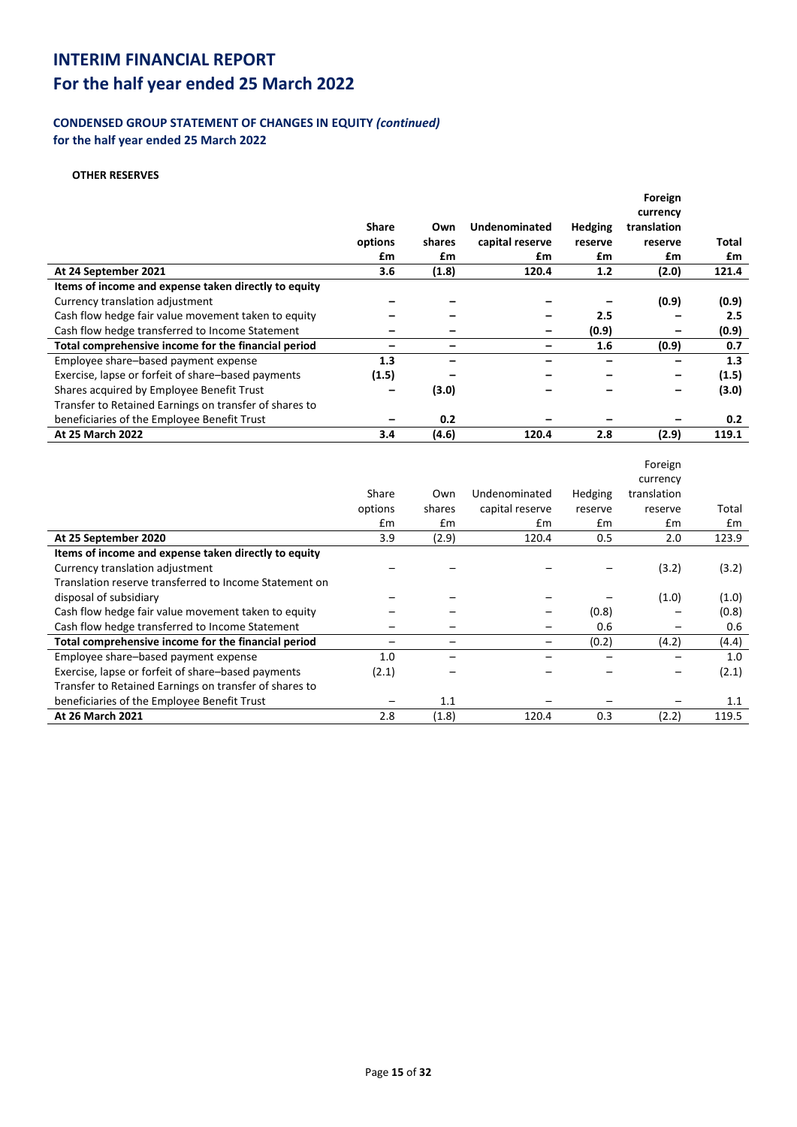## **CONDENSED GROUP STATEMENT OF CHANGES IN EQUITY** *(continued)* **for the half year ended 25 March 2022**

## **OTHER RESERVES**

|                                                        |              |        |                 |                | Foreign     |       |
|--------------------------------------------------------|--------------|--------|-----------------|----------------|-------------|-------|
|                                                        |              |        |                 |                | currency    |       |
|                                                        | <b>Share</b> | Own    | Undenominated   | <b>Hedging</b> | translation |       |
|                                                        | options      | shares | capital reserve | reserve        | reserve     | Total |
|                                                        | £m           | £m     | £m              | £m             | £m          | £m    |
| At 24 September 2021                                   | 3.6          | (1.8)  | 120.4           | 1.2            | (2.0)       | 121.4 |
| Items of income and expense taken directly to equity   |              |        |                 |                |             |       |
| Currency translation adjustment                        |              |        |                 |                | (0.9)       | (0.9) |
| Cash flow hedge fair value movement taken to equity    |              |        |                 | 2.5            |             | 2.5   |
| Cash flow hedge transferred to Income Statement        |              |        | -               | (0.9)          | -           | (0.9) |
| Total comprehensive income for the financial period    |              |        |                 | 1.6            | (0.9)       | 0.7   |
| Employee share-based payment expense                   | 1.3          |        |                 |                |             | 1.3   |
| Exercise, lapse or forfeit of share-based payments     | (1.5)        |        |                 |                |             | (1.5) |
| Shares acquired by Employee Benefit Trust              |              | (3.0)  |                 |                | -           | (3.0) |
| Transfer to Retained Earnings on transfer of shares to |              |        |                 |                |             |       |
| beneficiaries of the Employee Benefit Trust            |              | 0.2    |                 |                |             | 0.2   |
| <b>At 25 March 2022</b>                                | 3.4          | (4.6)  | 120.4           | 2.8            | (2.9)       | 119.1 |

|                                                        |         |        |                 |         | Foreign     |       |
|--------------------------------------------------------|---------|--------|-----------------|---------|-------------|-------|
|                                                        |         |        |                 |         | currency    |       |
|                                                        | Share   | Own    | Undenominated   | Hedging | translation |       |
|                                                        | options | shares | capital reserve | reserve | reserve     | Total |
|                                                        | £m      | Em     | £m              | £m      | £m          | £m    |
| At 25 September 2020                                   | 3.9     | (2.9)  | 120.4           | 0.5     | 2.0         | 123.9 |
| Items of income and expense taken directly to equity   |         |        |                 |         |             |       |
| Currency translation adjustment                        |         |        |                 |         | (3.2)       | (3.2) |
| Translation reserve transferred to Income Statement on |         |        |                 |         |             |       |
| disposal of subsidiary                                 |         |        |                 |         | (1.0)       | (1.0) |
| Cash flow hedge fair value movement taken to equity    |         |        |                 | (0.8)   |             | (0.8) |
| Cash flow hedge transferred to Income Statement        |         |        |                 | 0.6     |             | 0.6   |
| Total comprehensive income for the financial period    |         |        |                 | (0.2)   | (4.2)       | (4.4) |
| Employee share-based payment expense                   | 1.0     |        |                 |         |             | 1.0   |
| Exercise, lapse or forfeit of share-based payments     | (2.1)   |        |                 |         |             | (2.1) |
| Transfer to Retained Earnings on transfer of shares to |         |        |                 |         |             |       |
| beneficiaries of the Employee Benefit Trust            |         | 1.1    |                 |         |             | 1.1   |
| At 26 March 2021                                       | 2.8     | (1.8)  | 120.4           | 0.3     | (2.2)       | 119.5 |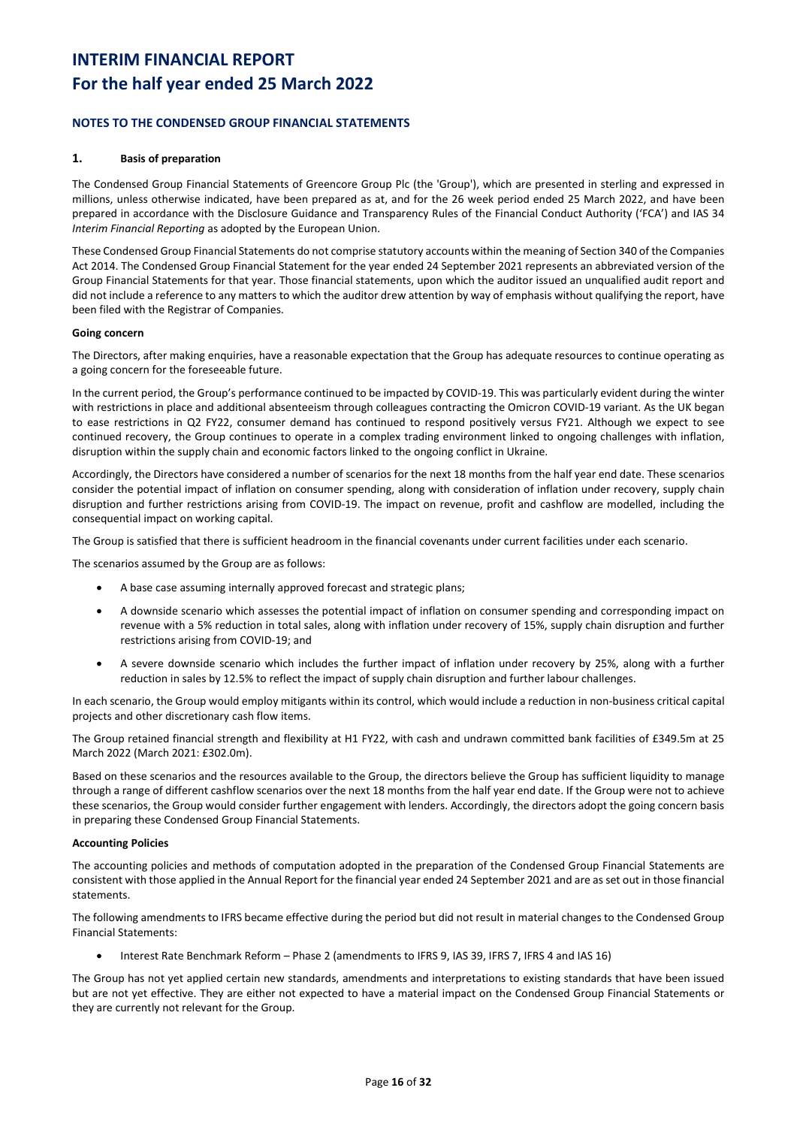# **For the half year ended 25 March 2022**

### **NOTES TO THE CONDENSED GROUP FINANCIAL STATEMENTS**

### **1. Basis of preparation**

The Condensed Group Financial Statements of Greencore Group Plc (the 'Group'), which are presented in sterling and expressed in millions, unless otherwise indicated, have been prepared as at, and for the 26 week period ended 25 March 2022, and have been prepared in accordance with the Disclosure Guidance and Transparency Rules of the Financial Conduct Authority ('FCA') and IAS 34 *Interim Financial Reporting* as adopted by the European Union.

These Condensed Group Financial Statements do not comprise statutory accounts within the meaning of Section 340 of the Companies Act 2014. The Condensed Group Financial Statement for the year ended 24 September 2021 represents an abbreviated version of the Group Financial Statements for that year. Those financial statements, upon which the auditor issued an unqualified audit report and did not include a reference to any matters to which the auditor drew attention by way of emphasis without qualifying the report, have been filed with the Registrar of Companies.

### **Going concern**

The Directors, after making enquiries, have a reasonable expectation that the Group has adequate resources to continue operating as a going concern for the foreseeable future.

In the current period, the Group's performance continued to be impacted by COVID-19. This was particularly evident during the winter with restrictions in place and additional absenteeism through colleagues contracting the Omicron COVID-19 variant. As the UK began to ease restrictions in Q2 FY22, consumer demand has continued to respond positively versus FY21. Although we expect to see continued recovery, the Group continues to operate in a complex trading environment linked to ongoing challenges with inflation, disruption within the supply chain and economic factors linked to the ongoing conflict in Ukraine.

Accordingly, the Directors have considered a number of scenarios for the next 18 months from the half year end date. These scenarios consider the potential impact of inflation on consumer spending, along with consideration of inflation under recovery, supply chain disruption and further restrictions arising from COVID-19. The impact on revenue, profit and cashflow are modelled, including the consequential impact on working capital.

The Group is satisfied that there is sufficient headroom in the financial covenants under current facilities under each scenario.

The scenarios assumed by the Group are as follows:

- A base case assuming internally approved forecast and strategic plans;
- A downside scenario which assesses the potential impact of inflation on consumer spending and corresponding impact on revenue with a 5% reduction in total sales, along with inflation under recovery of 15%, supply chain disruption and further restrictions arising from COVID-19; and
- A severe downside scenario which includes the further impact of inflation under recovery by 25%, along with a further reduction in sales by 12.5% to reflect the impact of supply chain disruption and further labour challenges.

In each scenario, the Group would employ mitigants within its control, which would include a reduction in non-business critical capital projects and other discretionary cash flow items.

The Group retained financial strength and flexibility at H1 FY22, with cash and undrawn committed bank facilities of £349.5m at 25 March 2022 (March 2021: £302.0m).

Based on these scenarios and the resources available to the Group, the directors believe the Group has sufficient liquidity to manage through a range of different cashflow scenarios over the next 18 months from the half year end date. If the Group were not to achieve these scenarios, the Group would consider further engagement with lenders. Accordingly, the directors adopt the going concern basis in preparing these Condensed Group Financial Statements.

### **Accounting Policies**

The accounting policies and methods of computation adopted in the preparation of the Condensed Group Financial Statements are consistent with those applied in the Annual Report for the financial year ended 24 September 2021 and are as set out in those financial statements.

The following amendments to IFRS became effective during the period but did not result in material changes to the Condensed Group Financial Statements:

• Interest Rate Benchmark Reform – Phase 2 (amendments to IFRS 9, IAS 39, IFRS 7, IFRS 4 and IAS 16)

The Group has not yet applied certain new standards, amendments and interpretations to existing standards that have been issued but are not yet effective. They are either not expected to have a material impact on the Condensed Group Financial Statements or they are currently not relevant for the Group.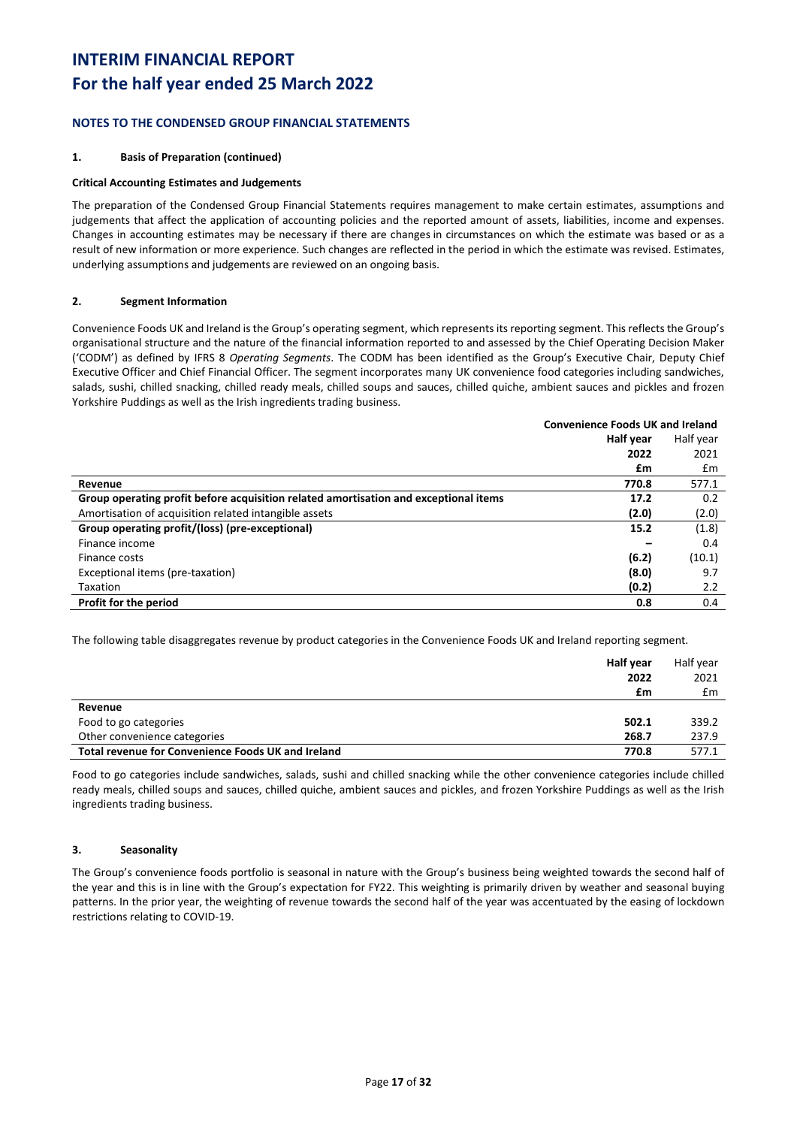# **For the half year ended 25 March 2022**

## **NOTES TO THE CONDENSED GROUP FINANCIAL STATEMENTS**

### **1. Basis of Preparation (continued)**

### **Critical Accounting Estimates and Judgements**

The preparation of the Condensed Group Financial Statements requires management to make certain estimates, assumptions and judgements that affect the application of accounting policies and the reported amount of assets, liabilities, income and expenses. Changes in accounting estimates may be necessary if there are changes in circumstances on which the estimate was based or as a result of new information or more experience. Such changes are reflected in the period in which the estimate was revised. Estimates, underlying assumptions and judgements are reviewed on an ongoing basis.

### **2. Segment Information**

Convenience Foods UK and Ireland is the Group's operating segment, which represents its reporting segment. This reflects the Group's organisational structure and the nature of the financial information reported to and assessed by the Chief Operating Decision Maker ('CODM') as defined by IFRS 8 *Operating Segments*. The CODM has been identified as the Group's Executive Chair, Deputy Chief Executive Officer and Chief Financial Officer. The segment incorporates many UK convenience food categories including sandwiches, salads, sushi, chilled snacking, chilled ready meals, chilled soups and sauces, chilled quiche, ambient sauces and pickles and frozen Yorkshire Puddings as well as the Irish ingredients trading business.

|                                                                                      | <b>Convenience Foods UK and Ireland</b> |           |  |
|--------------------------------------------------------------------------------------|-----------------------------------------|-----------|--|
|                                                                                      | Half year                               | Half year |  |
|                                                                                      | 2022                                    | 2021      |  |
|                                                                                      | £m                                      | £m        |  |
| Revenue                                                                              | 770.8                                   | 577.1     |  |
| Group operating profit before acquisition related amortisation and exceptional items | 17.2                                    | 0.2       |  |
| Amortisation of acquisition related intangible assets                                | (2.0)                                   | (2.0)     |  |
| Group operating profit/(loss) (pre-exceptional)                                      | 15.2                                    | (1.8)     |  |
| Finance income                                                                       |                                         | 0.4       |  |
| Finance costs                                                                        | (6.2)                                   | (10.1)    |  |
| Exceptional items (pre-taxation)                                                     | (8.0)                                   | 9.7       |  |
| Taxation                                                                             | (0.2)                                   | 2.2       |  |
| Profit for the period                                                                | 0.8                                     | 0.4       |  |

The following table disaggregates revenue by product categories in the Convenience Foods UK and Ireland reporting segment.

|                                                    | Half year<br>2022 | Half year<br>2021 |
|----------------------------------------------------|-------------------|-------------------|
|                                                    | £m                | £m                |
| Revenue                                            |                   |                   |
| Food to go categories                              | 502.1             | 339.2             |
| Other convenience categories                       | 268.7             | 237.9             |
| Total revenue for Convenience Foods UK and Ireland | 770.8             | 577.1             |

Food to go categories include sandwiches, salads, sushi and chilled snacking while the other convenience categories include chilled ready meals, chilled soups and sauces, chilled quiche, ambient sauces and pickles, and frozen Yorkshire Puddings as well as the Irish ingredients trading business.

### **3. Seasonality**

The Group's convenience foods portfolio is seasonal in nature with the Group's business being weighted towards the second half of the year and this is in line with the Group's expectation for FY22. This weighting is primarily driven by weather and seasonal buying patterns. In the prior year, the weighting of revenue towards the second half of the year was accentuated by the easing of lockdown restrictions relating to COVID-19.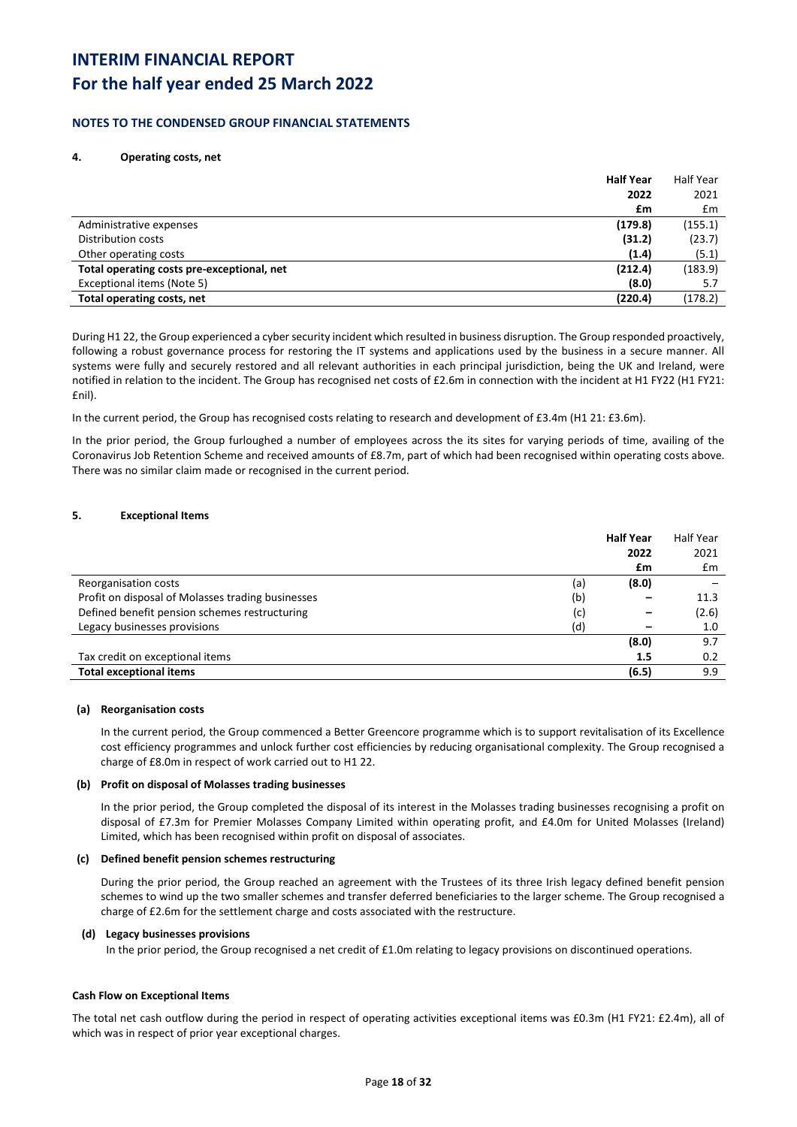# **For the half year ended 25 March 2022**

### **NOTES TO THE CONDENSED GROUP FINANCIAL STATEMENTS**

### **4. Operating costs, net**

| <b>Half Year</b>                                      | <b>Half Year</b> |
|-------------------------------------------------------|------------------|
| 2022                                                  | 2021             |
| £m                                                    | $\mathsf{fm}$    |
| (179.8)<br>Administrative expenses                    | (155.1)          |
| (31.2)<br>Distribution costs                          | (23.7)           |
| (1.4)<br>Other operating costs                        | (5.1)            |
| (212.4)<br>Total operating costs pre-exceptional, net | (183.9)          |
| Exceptional items (Note 5)<br>(8.0)                   | 5.7              |
| (220.4)<br>Total operating costs, net                 | (178.2)          |

During H1 22, the Group experienced a cyber security incident which resulted in business disruption. The Group responded proactively, following a robust governance process for restoring the IT systems and applications used by the business in a secure manner. All systems were fully and securely restored and all relevant authorities in each principal jurisdiction, being the UK and Ireland, were notified in relation to the incident. The Group has recognised net costs of £2.6m in connection with the incident at H1 FY22 (H1 FY21: £nil).

In the current period, the Group has recognised costs relating to research and development of £3.4m (H1 21: £3.6m).

In the prior period, the Group furloughed a number of employees across the its sites for varying periods of time, availing of the Coronavirus Job Retention Scheme and received amounts of £8.7m, part of which had been recognised within operating costs above. There was no similar claim made or recognised in the current period.

### **5. Exceptional Items**

| 2021<br>2022<br>$\mathsf{fm}$<br>£m<br>(8.0)<br>(a)<br>Reorganisation costs<br>Profit on disposal of Molasses trading businesses<br>(b)<br>11.3<br>Defined benefit pension schemes restructuring<br>(2.6)<br>(c)<br>Legacy businesses provisions<br>(d)<br>1.0<br>-<br>(8.0)<br>9.7<br>Tax credit on exceptional items<br>0.2<br>1.5 |                                | <b>Half Year</b> | Half Year |
|--------------------------------------------------------------------------------------------------------------------------------------------------------------------------------------------------------------------------------------------------------------------------------------------------------------------------------------|--------------------------------|------------------|-----------|
|                                                                                                                                                                                                                                                                                                                                      |                                |                  |           |
|                                                                                                                                                                                                                                                                                                                                      |                                |                  |           |
|                                                                                                                                                                                                                                                                                                                                      |                                |                  |           |
|                                                                                                                                                                                                                                                                                                                                      |                                |                  |           |
|                                                                                                                                                                                                                                                                                                                                      |                                |                  |           |
|                                                                                                                                                                                                                                                                                                                                      |                                |                  |           |
|                                                                                                                                                                                                                                                                                                                                      |                                |                  |           |
|                                                                                                                                                                                                                                                                                                                                      |                                |                  |           |
|                                                                                                                                                                                                                                                                                                                                      | <b>Total exceptional items</b> | (6.5)            | 9.9       |

### **(a) Reorganisation costs**

In the current period, the Group commenced a Better Greencore programme which is to support revitalisation of its Excellence cost efficiency programmes and unlock further cost efficiencies by reducing organisational complexity. The Group recognised a charge of £8.0m in respect of work carried out to H1 22.

### **(b) Profit on disposal of Molasses trading businesses**

In the prior period, the Group completed the disposal of its interest in the Molasses trading businesses recognising a profit on disposal of £7.3m for Premier Molasses Company Limited within operating profit, and £4.0m for United Molasses (Ireland) Limited, which has been recognised within profit on disposal of associates.

### **(c) Defined benefit pension schemes restructuring**

During the prior period, the Group reached an agreement with the Trustees of its three Irish legacy defined benefit pension schemes to wind up the two smaller schemes and transfer deferred beneficiaries to the larger scheme. The Group recognised a charge of £2.6m for the settlement charge and costs associated with the restructure.

### **(d) Legacy businesses provisions**

In the prior period, the Group recognised a net credit of £1.0m relating to legacy provisions on discontinued operations.

### **Cash Flow on Exceptional Items**

The total net cash outflow during the period in respect of operating activities exceptional items was £0.3m (H1 FY21: £2.4m), all of which was in respect of prior year exceptional charges.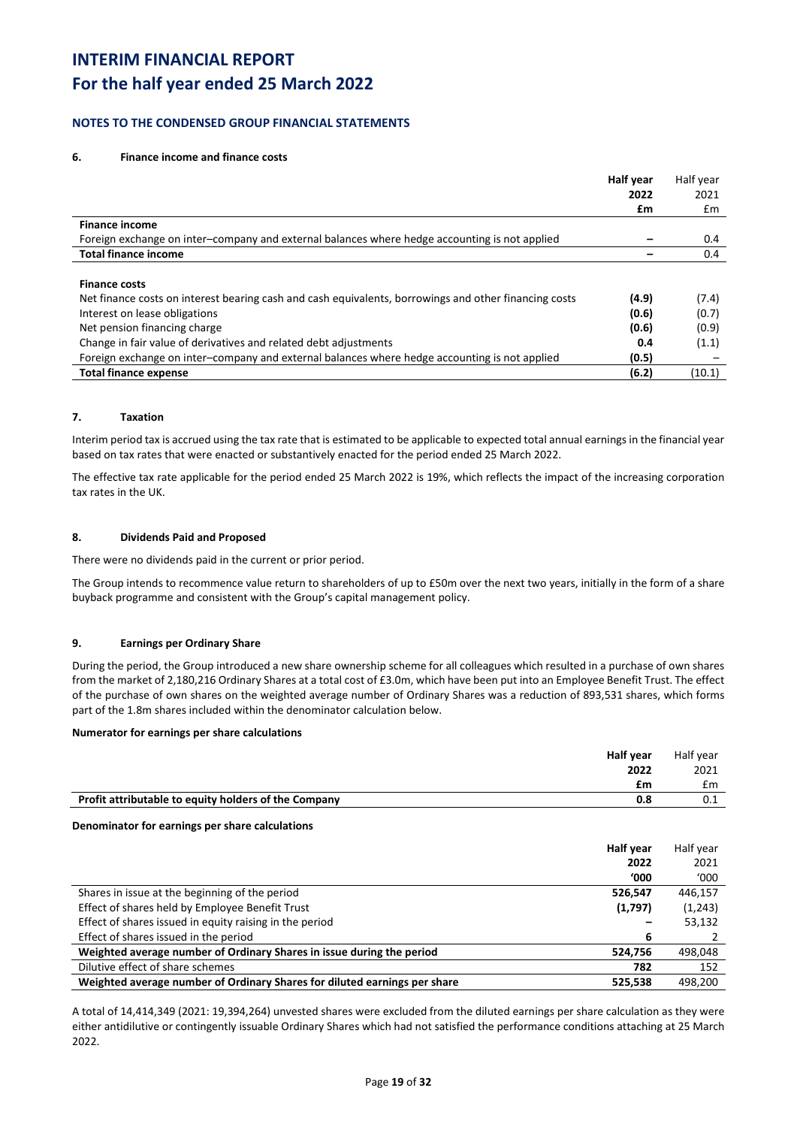## **For the half year ended 25 March 2022**

### **NOTES TO THE CONDENSED GROUP FINANCIAL STATEMENTS**

### **6. Finance income and finance costs**

|                                                                                                       | Half year | Half year |
|-------------------------------------------------------------------------------------------------------|-----------|-----------|
|                                                                                                       | 2022      | 2021      |
|                                                                                                       | £m        | £m        |
| <b>Finance income</b>                                                                                 |           |           |
| Foreign exchange on inter-company and external balances where hedge accounting is not applied         |           | 0.4       |
| <b>Total finance income</b>                                                                           |           | 0.4       |
|                                                                                                       |           |           |
| <b>Finance costs</b>                                                                                  |           |           |
| Net finance costs on interest bearing cash and cash equivalents, borrowings and other financing costs | (4.9)     | (7.4)     |
| Interest on lease obligations                                                                         | (0.6)     | (0.7)     |
| Net pension financing charge                                                                          | (0.6)     | (0.9)     |
| Change in fair value of derivatives and related debt adjustments                                      | 0.4       | (1.1)     |
| Foreign exchange on inter-company and external balances where hedge accounting is not applied         | (0.5)     |           |
| <b>Total finance expense</b>                                                                          | (6.2)     | (10.1)    |

### **7. Taxation**

Interim period tax is accrued using the tax rate that is estimated to be applicable to expected total annual earnings in the financial year based on tax rates that were enacted or substantively enacted for the period ended 25 March 2022.

The effective tax rate applicable for the period ended 25 March 2022 is 19%, which reflects the impact of the increasing corporation tax rates in the UK.

### **8. Dividends Paid and Proposed**

There were no dividends paid in the current or prior period.

The Group intends to recommence value return to shareholders of up to £50m over the next two years, initially in the form of a share buyback programme and consistent with the Group's capital management policy.

### **9. Earnings per Ordinary Share**

During the period, the Group introduced a new share ownership scheme for all colleagues which resulted in a purchase of own shares from the market of 2,180,216 Ordinary Shares at a total cost of £3.0m, which have been put into an Employee Benefit Trust. The effect of the purchase of own shares on the weighted average number of Ordinary Shares was a reduction of 893,531 shares, which forms part of the 1.8m shares included within the denominator calculation below.

### **Numerator for earnings per share calculations**

|                                                      | <b>Half year</b> | Half vear |
|------------------------------------------------------|------------------|-----------|
|                                                      | 2022             | 2021      |
|                                                      | £m               | £m        |
| Profit attributable to equity holders of the Company | 0.8              |           |
|                                                      |                  |           |

### **Denominator for earnings per share calculations**

|                                                                           | Half year   | Half year |
|---------------------------------------------------------------------------|-------------|-----------|
|                                                                           | 2022        | 2021      |
|                                                                           | <b>'000</b> | '000      |
| Shares in issue at the beginning of the period                            | 526,547     | 446,157   |
| Effect of shares held by Employee Benefit Trust                           | (1,797)     | (1,243)   |
| Effect of shares issued in equity raising in the period                   |             | 53,132    |
| Effect of shares issued in the period                                     | 6           |           |
| Weighted average number of Ordinary Shares in issue during the period     | 524,756     | 498,048   |
| Dilutive effect of share schemes                                          | 782         | 152       |
| Weighted average number of Ordinary Shares for diluted earnings per share | 525,538     | 498,200   |

A total of 14,414,349 (2021: 19,394,264) unvested shares were excluded from the diluted earnings per share calculation as they were either antidilutive or contingently issuable Ordinary Shares which had not satisfied the performance conditions attaching at 25 March 2022.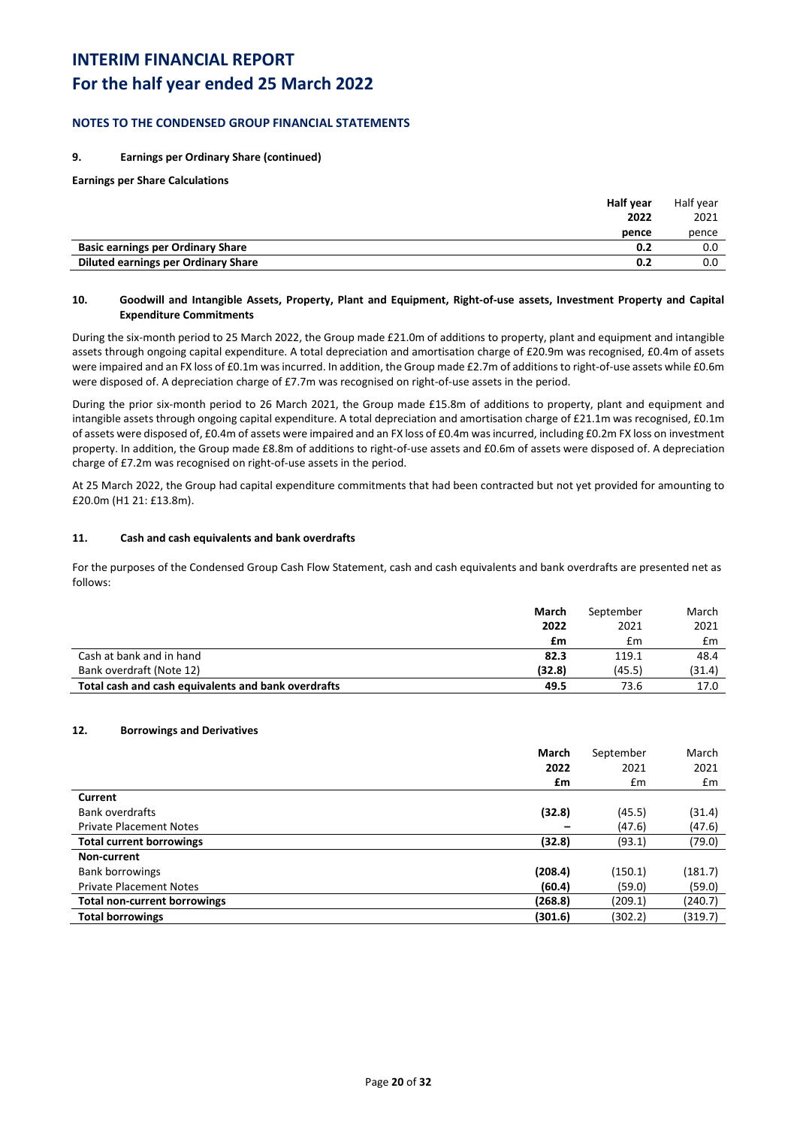# **For the half year ended 25 March 2022**

### **NOTES TO THE CONDENSED GROUP FINANCIAL STATEMENTS**

### **9. Earnings per Ordinary Share (continued)**

**Earnings per Share Calculations**

|                                          | Half year | Half vear |
|------------------------------------------|-----------|-----------|
|                                          | 2022      | 2021      |
|                                          | pence     | pence     |
| <b>Basic earnings per Ordinary Share</b> | 0.2       | 0.0       |
| Diluted earnings per Ordinary Share      | 0.2       | 0.0       |

### **10. Goodwill and Intangible Assets, Property, Plant and Equipment, Right-of-use assets, Investment Property and Capital Expenditure Commitments**

During the six-month period to 25 March 2022, the Group made £21.0m of additions to property, plant and equipment and intangible assets through ongoing capital expenditure. A total depreciation and amortisation charge of £20.9m was recognised, £0.4m of assets were impaired and an FX loss of £0.1m was incurred. In addition, the Group made £2.7m of additions to right-of-use assets while £0.6m were disposed of. A depreciation charge of £7.7m was recognised on right-of-use assets in the period.

During the prior six-month period to 26 March 2021, the Group made £15.8m of additions to property, plant and equipment and intangible assets through ongoing capital expenditure. A total depreciation and amortisation charge of £21.1m was recognised, £0.1m of assets were disposed of, £0.4m of assets were impaired and an FX loss of £0.4m was incurred, including £0.2m FX loss on investment property. In addition, the Group made £8.8m of additions to right-of-use assets and £0.6m of assets were disposed of. A depreciation charge of £7.2m was recognised on right-of-use assets in the period.

At 25 March 2022, the Group had capital expenditure commitments that had been contracted but not yet provided for amounting to £20.0m (H1 21: £13.8m).

### **11. Cash and cash equivalents and bank overdrafts**

For the purposes of the Condensed Group Cash Flow Statement, cash and cash equivalents and bank overdrafts are presented net as follows:

|                                                     | March  | September | March  |
|-----------------------------------------------------|--------|-----------|--------|
|                                                     | 2022   | 2021      | 2021   |
|                                                     | £m     | £m        | £m     |
| Cash at bank and in hand                            | 82.3   | 119.1     | 48.4   |
| Bank overdraft (Note 12)                            | (32.8) | (45.5)    | (31.4) |
| Total cash and cash equivalents and bank overdrafts | 49.5   | 73.6      | 17.0   |

### **12. Borrowings and Derivatives**

|                                     | March   | September | March   |
|-------------------------------------|---------|-----------|---------|
|                                     | 2022    | 2021      | 2021    |
|                                     | £m      | £m        | £m      |
| Current                             |         |           |         |
| <b>Bank overdrafts</b>              | (32.8)  | (45.5)    | (31.4)  |
| <b>Private Placement Notes</b>      |         | (47.6)    | (47.6)  |
| <b>Total current borrowings</b>     | (32.8)  | (93.1)    | (79.0)  |
| Non-current                         |         |           |         |
| <b>Bank borrowings</b>              | (208.4) | (150.1)   | (181.7) |
| <b>Private Placement Notes</b>      | (60.4)  | (59.0)    | (59.0)  |
| <b>Total non-current borrowings</b> | (268.8) | (209.1)   | (240.7) |
| <b>Total borrowings</b>             | (301.6) | (302.2)   | (319.7) |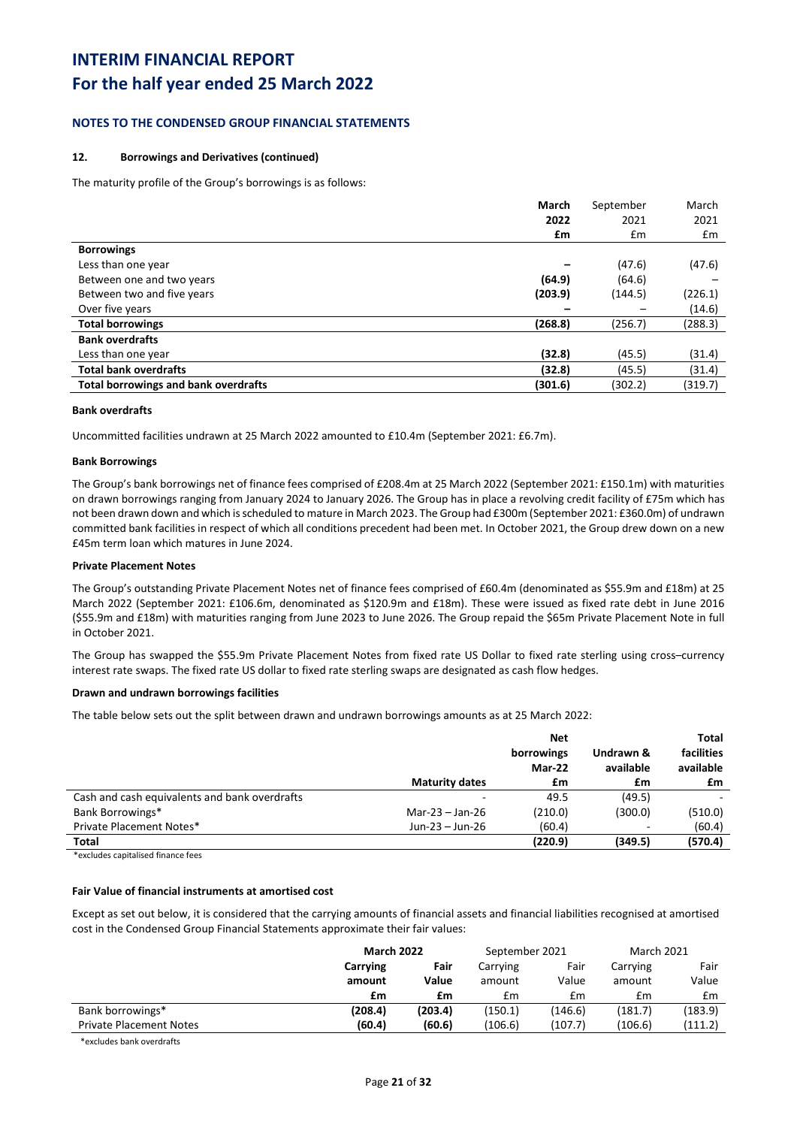# **For the half year ended 25 March 2022**

### **NOTES TO THE CONDENSED GROUP FINANCIAL STATEMENTS**

### **12. Borrowings and Derivatives (continued)**

The maturity profile of the Group's borrowings is as follows:

|                                             | March   | September | March   |
|---------------------------------------------|---------|-----------|---------|
|                                             | 2022    | 2021      | 2021    |
|                                             | £m      | £m        | £m      |
| <b>Borrowings</b>                           |         |           |         |
| Less than one year                          |         | (47.6)    | (47.6)  |
| Between one and two years                   | (64.9)  | (64.6)    |         |
| Between two and five years                  | (203.9) | (144.5)   | (226.1) |
| Over five years                             |         |           | (14.6)  |
| <b>Total borrowings</b>                     | (268.8) | (256.7)   | (288.3) |
| <b>Bank overdrafts</b>                      |         |           |         |
| Less than one year                          | (32.8)  | (45.5)    | (31.4)  |
| <b>Total bank overdrafts</b>                | (32.8)  | (45.5)    | (31.4)  |
| <b>Total borrowings and bank overdrafts</b> | (301.6) | (302.2)   | (319.7) |
|                                             |         |           |         |

### **Bank overdrafts**

Uncommitted facilities undrawn at 25 March 2022 amounted to £10.4m (September 2021: £6.7m).

#### **Bank Borrowings**

The Group's bank borrowings net of finance fees comprised of £208.4m at 25 March 2022 (September 2021: £150.1m) with maturities on drawn borrowings ranging from January 2024 to January 2026. The Group has in place a revolving credit facility of £75m which has not been drawn down and which is scheduled to mature in March 2023. The Group had £300m (September 2021: £360.0m) of undrawn committed bank facilities in respect of which all conditions precedent had been met. In October 2021, the Group drew down on a new £45m term loan which matures in June 2024.

#### **Private Placement Notes**

The Group's outstanding Private Placement Notes net of finance fees comprised of £60.4m (denominated as \$55.9m and £18m) at 25 March 2022 (September 2021: £106.6m, denominated as \$120.9m and £18m). These were issued as fixed rate debt in June 2016 (\$55.9m and £18m) with maturities ranging from June 2023 to June 2026. The Group repaid the \$65m Private Placement Note in full in October 2021.

The Group has swapped the \$55.9m Private Placement Notes from fixed rate US Dollar to fixed rate sterling using cross–currency interest rate swaps. The fixed rate US dollar to fixed rate sterling swaps are designated as cash flow hedges.

#### **Drawn and undrawn borrowings facilities**

The table below sets out the split between drawn and undrawn borrowings amounts as at 25 March 2022:

|                                               |                       | <b>Net</b> |           | Total      |
|-----------------------------------------------|-----------------------|------------|-----------|------------|
|                                               |                       | borrowings | Undrawn & | facilities |
|                                               |                       | Mar-22     | available | available  |
|                                               | <b>Maturity dates</b> | £m         | £m        | £m         |
| Cash and cash equivalents and bank overdrafts |                       | 49.5       | (49.5)    |            |
| Bank Borrowings*                              | Mar-23 $-$ Jan-26     | (210.0)    | (300.0)   | (510.0)    |
| Private Placement Notes*                      | Jun-23 - Jun-26       | (60.4)     | -         | (60.4)     |
| Total                                         |                       | (220.9)    | (349.5)   | (570.4)    |
|                                               |                       |            |           |            |

\*excludes capitalised finance fees

### **Fair Value of financial instruments at amortised cost**

Except as set out below, it is considered that the carrying amounts of financial assets and financial liabilities recognised at amortised cost in the Condensed Group Financial Statements approximate their fair values:

|                                | <b>March 2022</b> |         | September 2021 |         | <b>March 2021</b> |         |
|--------------------------------|-------------------|---------|----------------|---------|-------------------|---------|
|                                | Carrying          | Fair    | Carrying       | Fair    | Carrying          | Fair    |
|                                | amount            | Value   | amount         | Value   | amount            | Value   |
|                                | £m                | £m      | £m             | £m      | £m                | £m      |
| Bank borrowings*               | (208.4)           | (203.4) | (150.1)        | (146.6) | (181.7)           | (183.9) |
| <b>Private Placement Notes</b> | (60.4)            | (60.6)  | (106.6)        | (107.7) | (106.6)           | (111.2) |

\*excludes bank overdrafts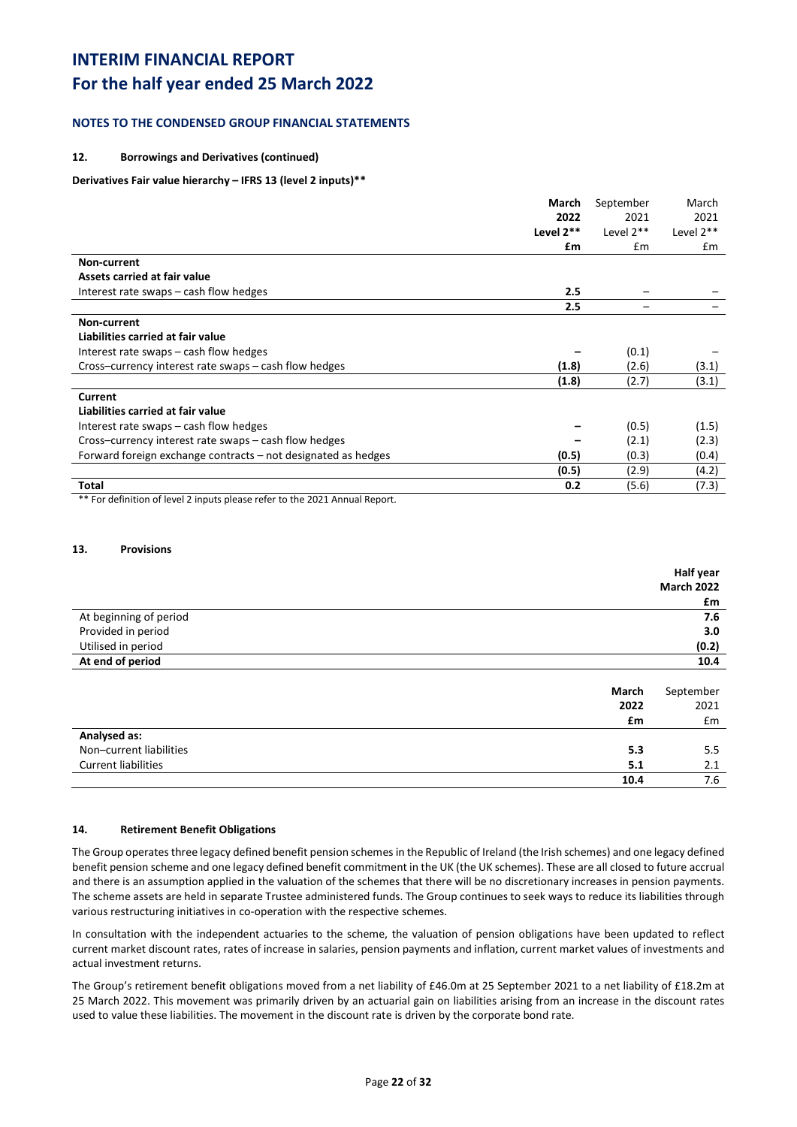# **For the half year ended 25 March 2022**

## **NOTES TO THE CONDENSED GROUP FINANCIAL STATEMENTS**

### **12. Borrowings and Derivatives (continued)**

### **Derivatives Fair value hierarchy – IFRS 13 (level 2 inputs)\*\***

|                                                               | March       | September   | March     |
|---------------------------------------------------------------|-------------|-------------|-----------|
|                                                               | 2022        | 2021        | 2021      |
|                                                               | Level $2**$ | Level $2**$ | Level 2** |
|                                                               | £m          | Em          | £m        |
| Non-current                                                   |             |             |           |
| Assets carried at fair value                                  |             |             |           |
| Interest rate swaps – cash flow hedges                        | 2.5         |             |           |
|                                                               | 2.5         |             |           |
| Non-current                                                   |             |             |           |
| Liabilities carried at fair value                             |             |             |           |
| Interest rate swaps – cash flow hedges                        |             | (0.1)       |           |
| Cross-currency interest rate swaps - cash flow hedges         | (1.8)       | (2.6)       | (3.1)     |
|                                                               | (1.8)       | (2.7)       | (3.1)     |
| Current                                                       |             |             |           |
| Liabilities carried at fair value                             |             |             |           |
| Interest rate swaps – cash flow hedges                        |             | (0.5)       | (1.5)     |
| Cross-currency interest rate swaps - cash flow hedges         |             | (2.1)       | (2.3)     |
| Forward foreign exchange contracts – not designated as hedges | (0.5)       | (0.3)       | (0.4)     |
|                                                               | (0.5)       | (2.9)       | (4.2)     |
| Total                                                         | 0.2         | (5.6)       | (7.3)     |
|                                                               |             |             |           |

\*\* For definition of level 2 inputs please refer to the 2021 Annual Report.

### **13. Provisions**

|                            |       | Half year         |
|----------------------------|-------|-------------------|
|                            |       | <b>March 2022</b> |
|                            |       | £m                |
| At beginning of period     |       | 7.6               |
| Provided in period         |       | 3.0               |
| Utilised in period         |       | (0.2)             |
| At end of period           |       | 10.4              |
|                            |       |                   |
|                            | March | September         |
|                            | 2022  | 2021              |
|                            | £m    | £m                |
| Analysed as:               |       |                   |
| Non-current liabilities    | 5.3   | 5.5               |
| <b>Current liabilities</b> | 5.1   | 2.1               |
|                            | 10.4  | 7.6               |

### **14. Retirement Benefit Obligations**

The Group operates three legacy defined benefit pension schemes in the Republic of Ireland (the Irish schemes) and one legacy defined benefit pension scheme and one legacy defined benefit commitment in the UK (the UK schemes). These are all closed to future accrual and there is an assumption applied in the valuation of the schemes that there will be no discretionary increases in pension payments. The scheme assets are held in separate Trustee administered funds. The Group continues to seek ways to reduce its liabilities through various restructuring initiatives in co-operation with the respective schemes.

In consultation with the independent actuaries to the scheme, the valuation of pension obligations have been updated to reflect current market discount rates, rates of increase in salaries, pension payments and inflation, current market values of investments and actual investment returns.

The Group's retirement benefit obligations moved from a net liability of £46.0m at 25 September 2021 to a net liability of £18.2m at 25 March 2022. This movement was primarily driven by an actuarial gain on liabilities arising from an increase in the discount rates used to value these liabilities. The movement in the discount rate is driven by the corporate bond rate.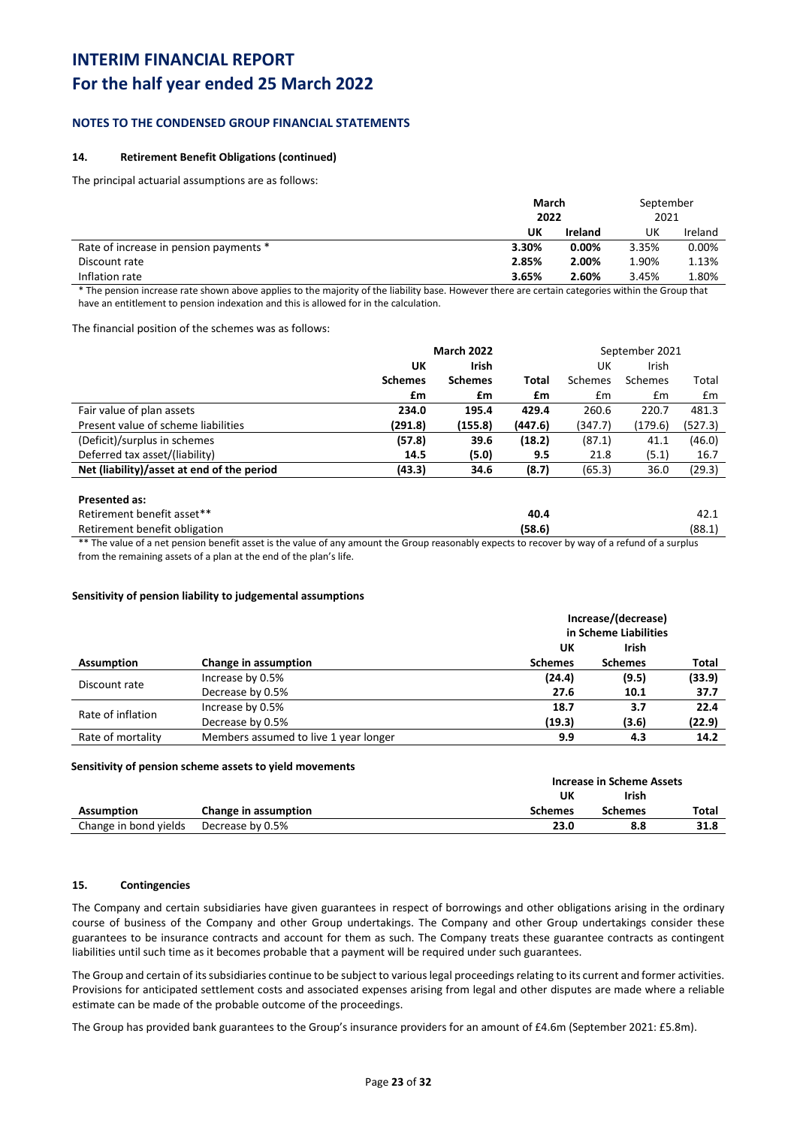# **For the half year ended 25 March 2022**

### **NOTES TO THE CONDENSED GROUP FINANCIAL STATEMENTS**

### **14. Retirement Benefit Obligations (continued)**

The principal actuarial assumptions are as follows:

|                                        | March<br>2022 |                | September<br>2021 |         |
|----------------------------------------|---------------|----------------|-------------------|---------|
|                                        | UΚ            | <b>Ireland</b> | UK                | Ireland |
| Rate of increase in pension payments * | 3.30%         | 0.00%          | 3.35%             | 0.00%   |
| Discount rate                          | 2.85%         | 2.00%          | 1.90%             | 1.13%   |
| Inflation rate                         | 3.65%         | 2.60%          | 3.45%             | 1.80%   |

\* The pension increase rate shown above applies to the majority of the liability base. However there are certain categories within the Group that have an entitlement to pension indexation and this is allowed for in the calculation.

The financial position of the schemes was as follows:

|                                            | <b>March 2022</b> |                |              |         | September 2021 |         |
|--------------------------------------------|-------------------|----------------|--------------|---------|----------------|---------|
|                                            | UK                | Irish          |              | UK      | Irish          |         |
|                                            | <b>Schemes</b>    | <b>Schemes</b> | <b>Total</b> | Schemes | Schemes        | Total   |
|                                            | £m                | £m             | £m           | Em      | £m             | £m      |
| Fair value of plan assets                  | 234.0             | 195.4          | 429.4        | 260.6   | 220.7          | 481.3   |
| Present value of scheme liabilities        | (291.8)           | (155.8)        | (447.6)      | (347.7) | (179.6)        | (527.3) |
| (Deficit)/surplus in schemes               | (57.8)            | 39.6           | (18.2)       | (87.1)  | 41.1           | (46.0)  |
| Deferred tax asset/(liability)             | 14.5              | (5.0)          | 9.5          | 21.8    | (5.1)          | 16.7    |
| Net (liability)/asset at end of the period | (43.3)            | 34.6           | (8.7)        | (65.3)  | 36.0           | (29.3)  |

#### **Presented as:**

| Retirement benefit asset**    | 40.4  | 42.1   |
|-------------------------------|-------|--------|
| Retirement benefit obligation | (58.6 | (88.1) |
| .                             |       |        |

\*\* The value of a net pension benefit asset is the value of any amount the Group reasonably expects to recover by way of a refund of a surplus from the remaining assets of a plan at the end of the plan's life.

#### **Sensitivity of pension liability to judgemental assumptions**

|                   |                                       | Increase/(decrease)   |                |        |  |  |
|-------------------|---------------------------------------|-----------------------|----------------|--------|--|--|
|                   |                                       | in Scheme Liabilities |                |        |  |  |
|                   |                                       | UK                    | <b>Irish</b>   |        |  |  |
| Assumption        | Change in assumption                  | <b>Schemes</b>        | <b>Schemes</b> | Total  |  |  |
| Discount rate     | Increase by 0.5%                      | (24.4)                | (9.5)          | (33.9) |  |  |
|                   | Decrease by 0.5%                      | 27.6                  | 10.1           | 37.7   |  |  |
| Rate of inflation | Increase by 0.5%                      | 18.7                  | 3.7            | 22.4   |  |  |
|                   | Decrease by 0.5%                      | (19.3)                | (3.6)          | (22.9) |  |  |
| Rate of mortality | Members assumed to live 1 year longer | 9.9                   | 4.3            | 14.2   |  |  |

#### **Sensitivity of pension scheme assets to yield movements**

|                       |                      |                | <b>Increase in Scheme Assets</b> |       |  |
|-----------------------|----------------------|----------------|----------------------------------|-------|--|
|                       |                      | UK             | <b>Irish</b>                     |       |  |
| Assumption            | Change in assumption | <b>Schemes</b> | Schemes                          | Total |  |
| Change in bond yields | Decrease by 0.5%     | 23.0           | 8.8                              | 31.8  |  |

### **15. Contingencies**

The Company and certain subsidiaries have given guarantees in respect of borrowings and other obligations arising in the ordinary course of business of the Company and other Group undertakings. The Company and other Group undertakings consider these guarantees to be insurance contracts and account for them as such. The Company treats these guarantee contracts as contingent liabilities until such time as it becomes probable that a payment will be required under such guarantees.

The Group and certain of its subsidiaries continue to be subject to various legal proceedings relating to its current and former activities. Provisions for anticipated settlement costs and associated expenses arising from legal and other disputes are made where a reliable estimate can be made of the probable outcome of the proceedings.

The Group has provided bank guarantees to the Group's insurance providers for an amount of £4.6m (September 2021: £5.8m).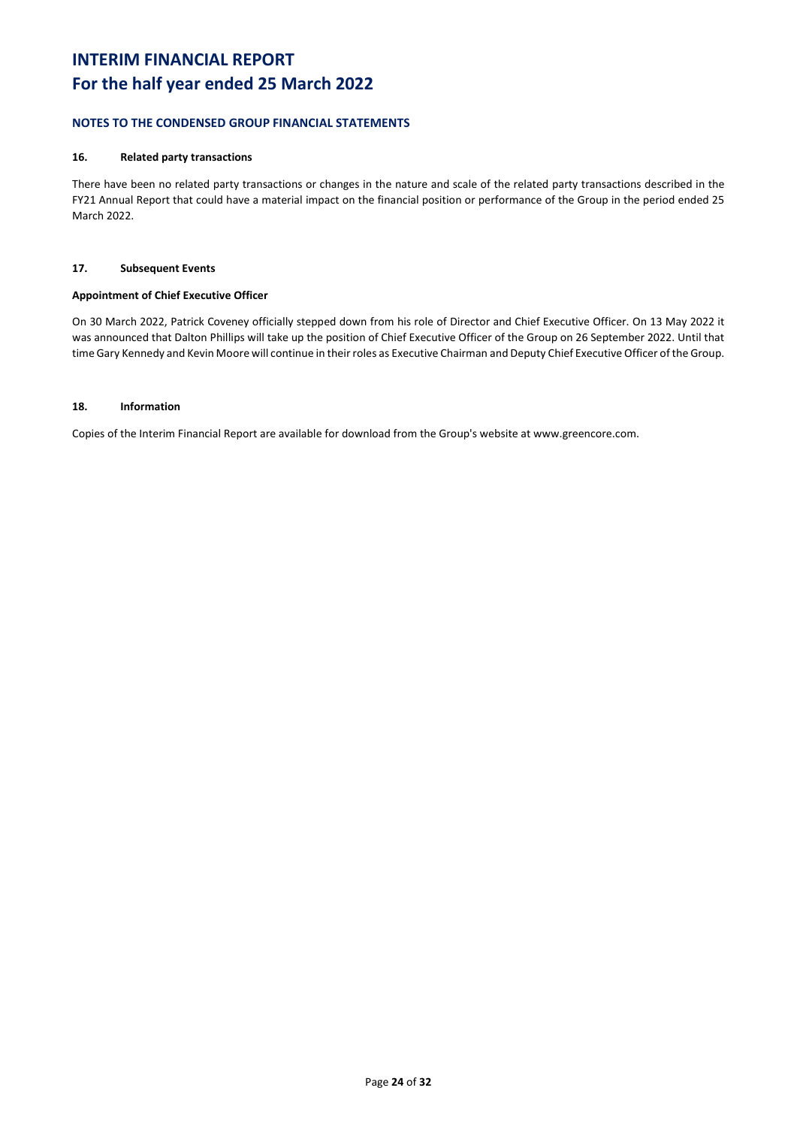## **NOTES TO THE CONDENSED GROUP FINANCIAL STATEMENTS**

### **16. Related party transactions**

There have been no related party transactions or changes in the nature and scale of the related party transactions described in the FY21 Annual Report that could have a material impact on the financial position or performance of the Group in the period ended 25 March 2022.

### **17. Subsequent Events**

### **Appointment of Chief Executive Officer**

On 30 March 2022, Patrick Coveney officially stepped down from his role of Director and Chief Executive Officer. On 13 May 2022 it was announced that Dalton Phillips will take up the position of Chief Executive Officer of the Group on 26 September 2022. Until that time Gary Kennedy and Kevin Moore will continue in their roles as Executive Chairman and Deputy Chief Executive Officer of the Group.

### **18. Information**

Copies of the Interim Financial Report are available for download from the Group's website at www.greencore.com.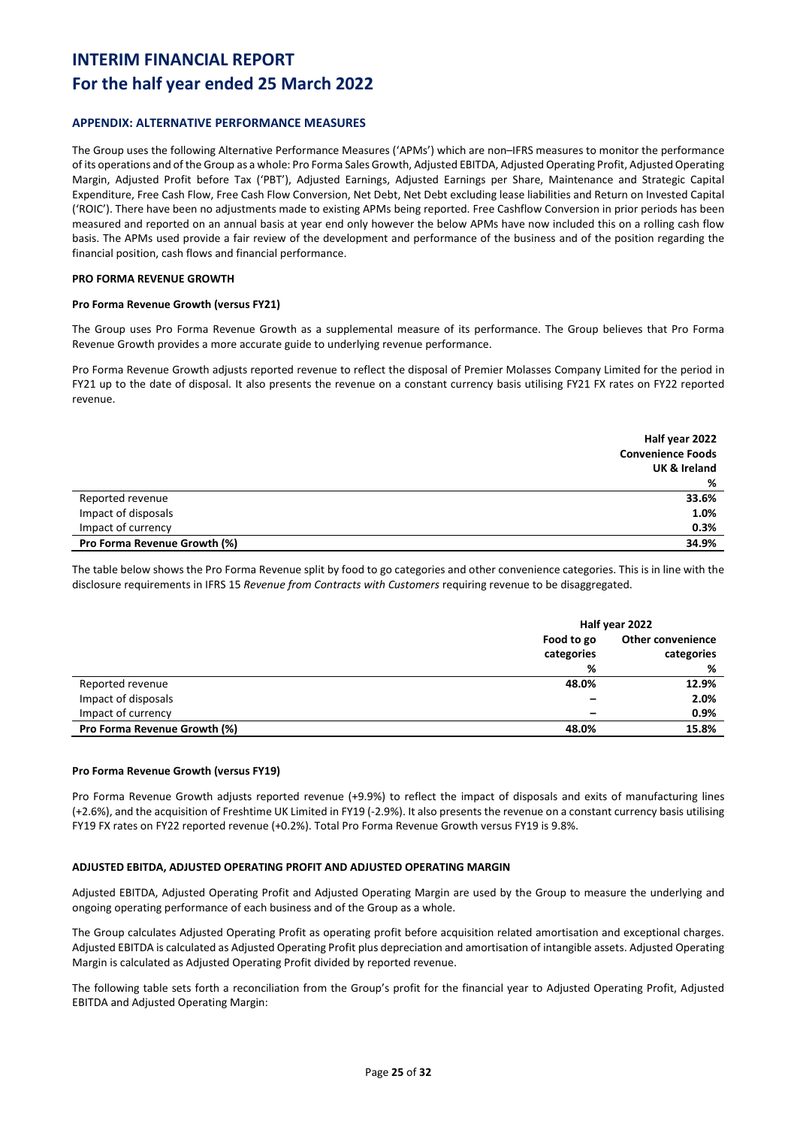## **For the half year ended 25 March 2022**

### **APPENDIX: ALTERNATIVE PERFORMANCE MEASURES**

The Group uses the following Alternative Performance Measures ('APMs') which are non–IFRS measures to monitor the performance of its operations and of the Group as a whole: Pro Forma Sales Growth, Adjusted EBITDA, Adjusted Operating Profit, Adjusted Operating Margin, Adjusted Profit before Tax ('PBT'), Adjusted Earnings, Adjusted Earnings per Share, Maintenance and Strategic Capital Expenditure, Free Cash Flow, Free Cash Flow Conversion, Net Debt, Net Debt excluding lease liabilities and Return on Invested Capital ('ROIC'). There have been no adjustments made to existing APMs being reported. Free Cashflow Conversion in prior periods has been measured and reported on an annual basis at year end only however the below APMs have now included this on a rolling cash flow basis. The APMs used provide a fair review of the development and performance of the business and of the position regarding the financial position, cash flows and financial performance.

### **PRO FORMA REVENUE GROWTH**

### **Pro Forma Revenue Growth (versus FY21)**

The Group uses Pro Forma Revenue Growth as a supplemental measure of its performance. The Group believes that Pro Forma Revenue Growth provides a more accurate guide to underlying revenue performance.

Pro Forma Revenue Growth adjusts reported revenue to reflect the disposal of Premier Molasses Company Limited for the period in FY21 up to the date of disposal. It also presents the revenue on a constant currency basis utilising FY21 FX rates on FY22 reported revenue.

|                              | Half year 2022           |
|------------------------------|--------------------------|
|                              | <b>Convenience Foods</b> |
|                              | UK & Ireland             |
|                              | %                        |
| Reported revenue             | 33.6%                    |
| Impact of disposals          | 1.0%                     |
| Impact of currency           | 0.3%                     |
| Pro Forma Revenue Growth (%) | 34.9%                    |

The table below shows the Pro Forma Revenue split by food to go categories and other convenience categories. This is in line with the disclosure requirements in IFRS 15 *Revenue from Contracts with Customers* requiring revenue to be disaggregated.

|                              | Half year 2022 |                          |
|------------------------------|----------------|--------------------------|
|                              | Food to go     | <b>Other convenience</b> |
|                              | categories     | categories               |
|                              | %              | %                        |
| Reported revenue             | 48.0%          | 12.9%                    |
| Impact of disposals          |                | 2.0%                     |
| Impact of currency           |                | 0.9%                     |
| Pro Forma Revenue Growth (%) | 48.0%          | 15.8%                    |

#### **Pro Forma Revenue Growth (versus FY19)**

Pro Forma Revenue Growth adjusts reported revenue (+9.9%) to reflect the impact of disposals and exits of manufacturing lines (+2.6%), and the acquisition of Freshtime UK Limited in FY19 (-2.9%). It also presents the revenue on a constant currency basis utilising FY19 FX rates on FY22 reported revenue (+0.2%). Total Pro Forma Revenue Growth versus FY19 is 9.8%.

### **ADJUSTED EBITDA, ADJUSTED OPERATING PROFIT AND ADJUSTED OPERATING MARGIN**

Adjusted EBITDA, Adjusted Operating Profit and Adjusted Operating Margin are used by the Group to measure the underlying and ongoing operating performance of each business and of the Group as a whole.

The Group calculates Adjusted Operating Profit as operating profit before acquisition related amortisation and exceptional charges. Adjusted EBITDA is calculated as Adjusted Operating Profit plus depreciation and amortisation of intangible assets. Adjusted Operating Margin is calculated as Adjusted Operating Profit divided by reported revenue.

The following table sets forth a reconciliation from the Group's profit for the financial year to Adjusted Operating Profit, Adjusted EBITDA and Adjusted Operating Margin: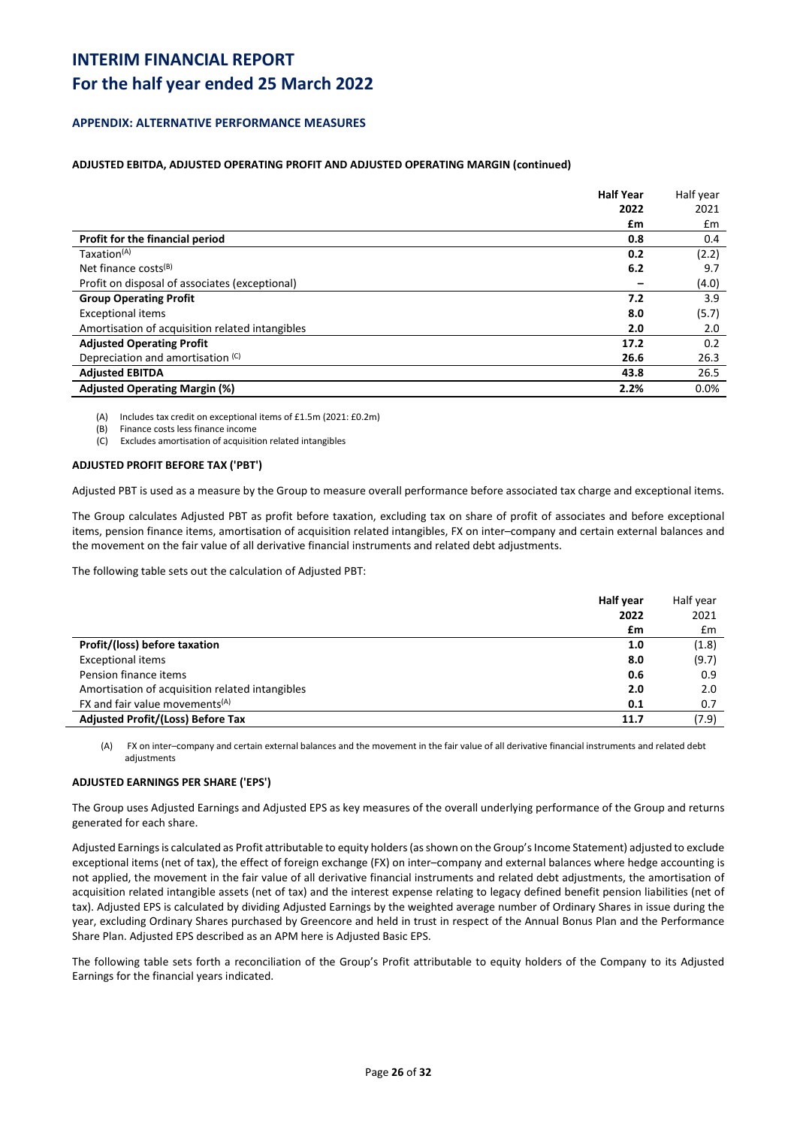## **For the half year ended 25 March 2022**

### **APPENDIX: ALTERNATIVE PERFORMANCE MEASURES**

### **ADJUSTED EBITDA, ADJUSTED OPERATING PROFIT AND ADJUSTED OPERATING MARGIN (continued)**

|                                                 | <b>Half Year</b> | Half year |
|-------------------------------------------------|------------------|-----------|
|                                                 | 2022             | 2021      |
|                                                 | £m               | £m        |
| Profit for the financial period                 | 0.8              | 0.4       |
| Taxation <sup>(A)</sup>                         | 0.2              | (2.2)     |
| Net finance costs $(B)$                         | 6.2              | 9.7       |
| Profit on disposal of associates (exceptional)  |                  | (4.0)     |
| <b>Group Operating Profit</b>                   | 7.2              | 3.9       |
| <b>Exceptional items</b>                        | 8.0              | (5.7)     |
| Amortisation of acquisition related intangibles | 2.0              | 2.0       |
| <b>Adjusted Operating Profit</b>                | 17.2             | 0.2       |
| Depreciation and amortisation (C)               | 26.6             | 26.3      |
| <b>Adjusted EBITDA</b>                          | 43.8             | 26.5      |
| <b>Adjusted Operating Margin (%)</b>            | 2.2%             | 0.0%      |

(A) Includes tax credit on exceptional items of £1.5m (2021: £0.2m)

(B) Finance costs less finance income

(C) Excludes amortisation of acquisition related intangibles

### **ADJUSTED PROFIT BEFORE TAX ('PBT')**

Adjusted PBT is used as a measure by the Group to measure overall performance before associated tax charge and exceptional items.

The Group calculates Adjusted PBT as profit before taxation, excluding tax on share of profit of associates and before exceptional items, pension finance items, amortisation of acquisition related intangibles, FX on inter–company and certain external balances and the movement on the fair value of all derivative financial instruments and related debt adjustments.

The following table sets out the calculation of Adjusted PBT:

|                                                         | <b>Half year</b> | Half year |
|---------------------------------------------------------|------------------|-----------|
|                                                         | 2022             | 2021      |
|                                                         | £m               | Em        |
| Profit/(loss) before taxation                           | 1.0              | (1.8)     |
| <b>Exceptional items</b>                                | 8.0              | (9.7)     |
| Pension finance items                                   | 0.6              | 0.9       |
| Amortisation of acquisition related intangibles         | 2.0              | 2.0       |
| FX and fair value movements <sup><math>(A)</math></sup> | 0.1              | 0.7       |
| <b>Adjusted Profit/(Loss) Before Tax</b>                | 11.7             | (7.9)     |

(A) FX on inter–company and certain external balances and the movement in the fair value of all derivative financial instruments and related debt adjustments

### **ADJUSTED EARNINGS PER SHARE ('EPS')**

The Group uses Adjusted Earnings and Adjusted EPS as key measures of the overall underlying performance of the Group and returns generated for each share.

Adjusted Earnings is calculated as Profit attributable to equity holders (as shown on the Group's Income Statement) adjusted to exclude exceptional items (net of tax), the effect of foreign exchange (FX) on inter–company and external balances where hedge accounting is not applied, the movement in the fair value of all derivative financial instruments and related debt adjustments, the amortisation of acquisition related intangible assets (net of tax) and the interest expense relating to legacy defined benefit pension liabilities (net of tax). Adjusted EPS is calculated by dividing Adjusted Earnings by the weighted average number of Ordinary Shares in issue during the year, excluding Ordinary Shares purchased by Greencore and held in trust in respect of the Annual Bonus Plan and the Performance Share Plan. Adjusted EPS described as an APM here is Adjusted Basic EPS.

The following table sets forth a reconciliation of the Group's Profit attributable to equity holders of the Company to its Adjusted Earnings for the financial years indicated.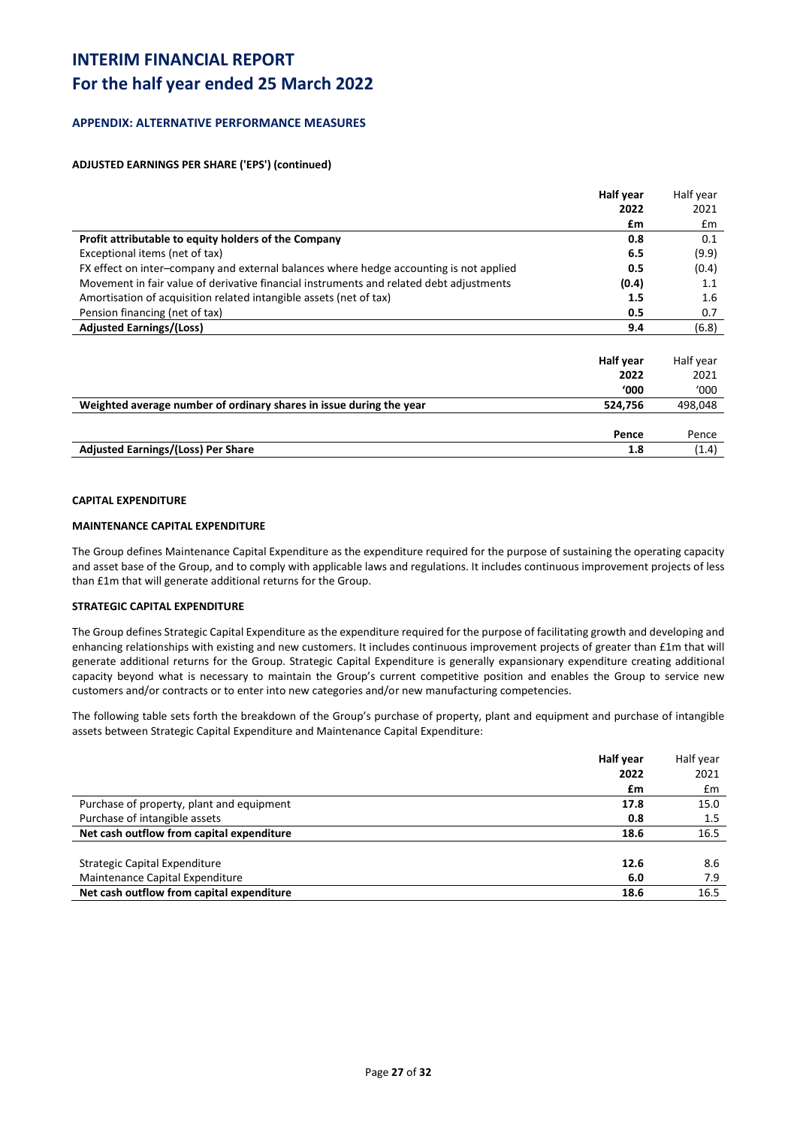## **For the half year ended 25 March 2022**

### **APPENDIX: ALTERNATIVE PERFORMANCE MEASURES**

### **ADJUSTED EARNINGS PER SHARE ('EPS') (continued)**

|                                                                                         | <b>Half year</b> | Half year |
|-----------------------------------------------------------------------------------------|------------------|-----------|
|                                                                                         | 2022             | 2021      |
|                                                                                         | £m               | £m        |
| Profit attributable to equity holders of the Company                                    | 0.8              | 0.1       |
| Exceptional items (net of tax)                                                          | 6.5              | (9.9)     |
| FX effect on inter-company and external balances where hedge accounting is not applied  | 0.5              | (0.4)     |
| Movement in fair value of derivative financial instruments and related debt adjustments | (0.4)            | 1.1       |
| Amortisation of acquisition related intangible assets (net of tax)                      | 1.5              | 1.6       |
| Pension financing (net of tax)                                                          | 0.5              | 0.7       |
| <b>Adjusted Earnings/(Loss)</b>                                                         | 9.4              | (6.8)     |
|                                                                                         |                  |           |
|                                                                                         | Half year        | Half year |
|                                                                                         | 2022             | 2021      |
|                                                                                         | <b>'000</b>      | '000      |
| Weighted average number of ordinary shares in issue during the year                     | 524,756          | 498,048   |
|                                                                                         |                  |           |
|                                                                                         | Pence            | Pence     |
| <b>Adjusted Earnings/(Loss) Per Share</b>                                               | 1.8              | (1.4)     |

### **CAPITAL EXPENDITURE**

### **MAINTENANCE CAPITAL EXPENDITURE**

The Group defines Maintenance Capital Expenditure as the expenditure required for the purpose of sustaining the operating capacity and asset base of the Group, and to comply with applicable laws and regulations. It includes continuous improvement projects of less than £1m that will generate additional returns for the Group.

### **STRATEGIC CAPITAL EXPENDITURE**

The Group defines Strategic Capital Expenditure as the expenditure required for the purpose of facilitating growth and developing and enhancing relationships with existing and new customers. It includes continuous improvement projects of greater than £1m that will generate additional returns for the Group. Strategic Capital Expenditure is generally expansionary expenditure creating additional capacity beyond what is necessary to maintain the Group's current competitive position and enables the Group to service new customers and/or contracts or to enter into new categories and/or new manufacturing competencies.

The following table sets forth the breakdown of the Group's purchase of property, plant and equipment and purchase of intangible assets between Strategic Capital Expenditure and Maintenance Capital Expenditure:

| Half year                                         | Half year     |
|---------------------------------------------------|---------------|
| 2022                                              | 2021          |
| £m                                                | $\mathsf{fm}$ |
| Purchase of property, plant and equipment<br>17.8 | 15.0          |
| Purchase of intangible assets<br>0.8              | 1.5           |
| Net cash outflow from capital expenditure<br>18.6 | 16.5          |
| Strategic Capital Expenditure<br>12.6             | 8.6           |
| Maintenance Capital Expenditure<br>6.0            | 7.9           |
| Net cash outflow from capital expenditure<br>18.6 | 16.5          |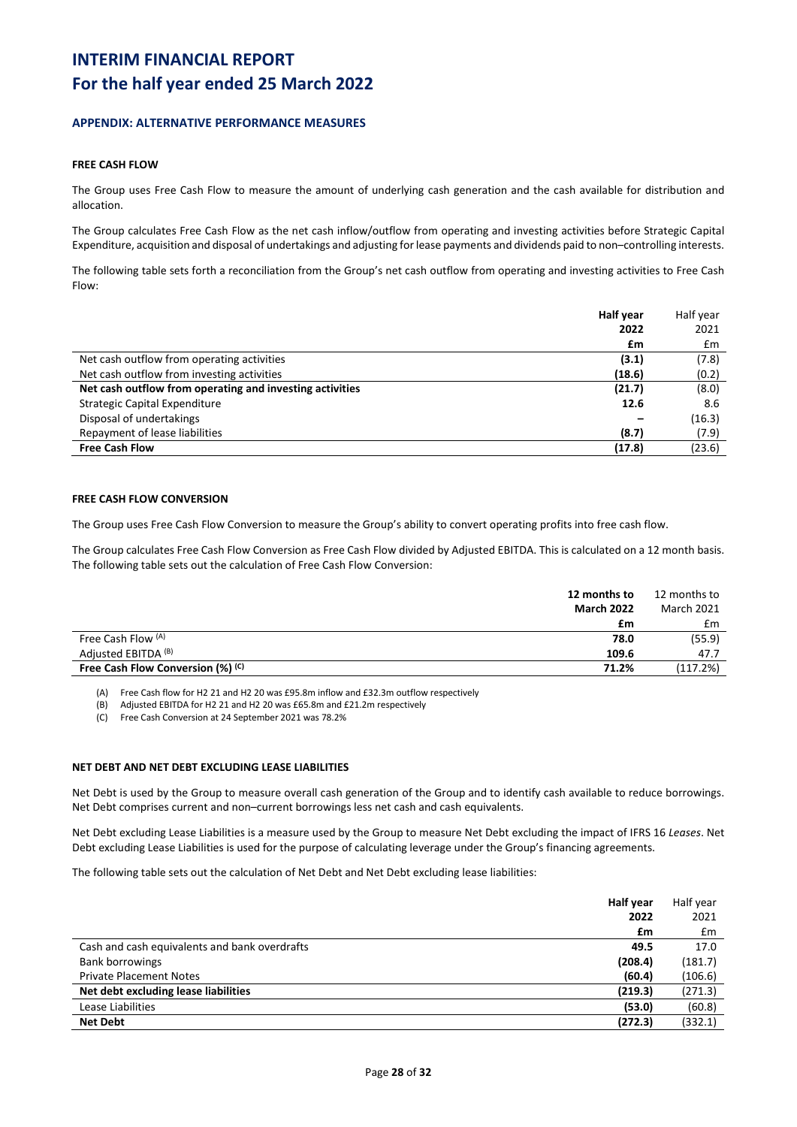### **APPENDIX: ALTERNATIVE PERFORMANCE MEASURES**

### **FREE CASH FLOW**

The Group uses Free Cash Flow to measure the amount of underlying cash generation and the cash available for distribution and allocation.

The Group calculates Free Cash Flow as the net cash inflow/outflow from operating and investing activities before Strategic Capital Expenditure, acquisition and disposal of undertakings and adjusting for lease payments and dividends paid to non–controlling interests.

The following table sets forth a reconciliation from the Group's net cash outflow from operating and investing activities to Free Cash Flow:

|                                                          | Half year | Half year     |
|----------------------------------------------------------|-----------|---------------|
|                                                          | 2022      | 2021          |
|                                                          | £m        | $\mathsf{fm}$ |
| Net cash outflow from operating activities               | (3.1)     | (7.8)         |
| Net cash outflow from investing activities               | (18.6)    | (0.2)         |
| Net cash outflow from operating and investing activities | (21.7)    | (8.0)         |
| Strategic Capital Expenditure                            | 12.6      | 8.6           |
| Disposal of undertakings                                 |           | (16.3)        |
| Repayment of lease liabilities                           | (8.7)     | (7.9)         |
| <b>Free Cash Flow</b>                                    | (17.8)    | (23.6)        |

### **FREE CASH FLOW CONVERSION**

The Group uses Free Cash Flow Conversion to measure the Group's ability to convert operating profits into free cash flow.

The Group calculates Free Cash Flow Conversion as Free Cash Flow divided by Adjusted EBITDA. This is calculated on a 12 month basis. The following table sets out the calculation of Free Cash Flow Conversion:

|                                   | 12 months to      | 12 months to      |
|-----------------------------------|-------------------|-------------------|
|                                   | <b>March 2022</b> | <b>March 2021</b> |
|                                   | £m                | £m                |
| Free Cash Flow (A)                | 78.0              | (55.9)            |
| Adjusted EBITDA (B)               | 109.6             | 47.7              |
| Free Cash Flow Conversion (%) (c) | 71.2%             | (117.2%)          |
|                                   |                   |                   |

(A) Free Cash flow for H2 21 and H2 20 was £95.8m inflow and £32.3m outflow respectively

(B) Adjusted EBITDA for H2 21 and H2 20 was £65.8m and £21.2m respectively

(C) Free Cash Conversion at 24 September 2021 was 78.2%

#### **NET DEBT AND NET DEBT EXCLUDING LEASE LIABILITIES**

Net Debt is used by the Group to measure overall cash generation of the Group and to identify cash available to reduce borrowings. Net Debt comprises current and non–current borrowings less net cash and cash equivalents.

Net Debt excluding Lease Liabilities is a measure used by the Group to measure Net Debt excluding the impact of IFRS 16 *Leases*. Net Debt excluding Lease Liabilities is used for the purpose of calculating leverage under the Group's financing agreements.

The following table sets out the calculation of Net Debt and Net Debt excluding lease liabilities:

|                                               | <b>Half year</b> | Half year |
|-----------------------------------------------|------------------|-----------|
|                                               | 2022             | 2021      |
|                                               | £m               | £m        |
| Cash and cash equivalents and bank overdrafts | 49.5             | 17.0      |
| <b>Bank borrowings</b>                        | (208.4)          | (181.7)   |
| <b>Private Placement Notes</b>                | (60.4)           | (106.6)   |
| Net debt excluding lease liabilities          | (219.3)          | (271.3)   |
| Lease Liabilities                             | (53.0)           | (60.8)    |
| <b>Net Debt</b>                               | (272.3)          | (332.1)   |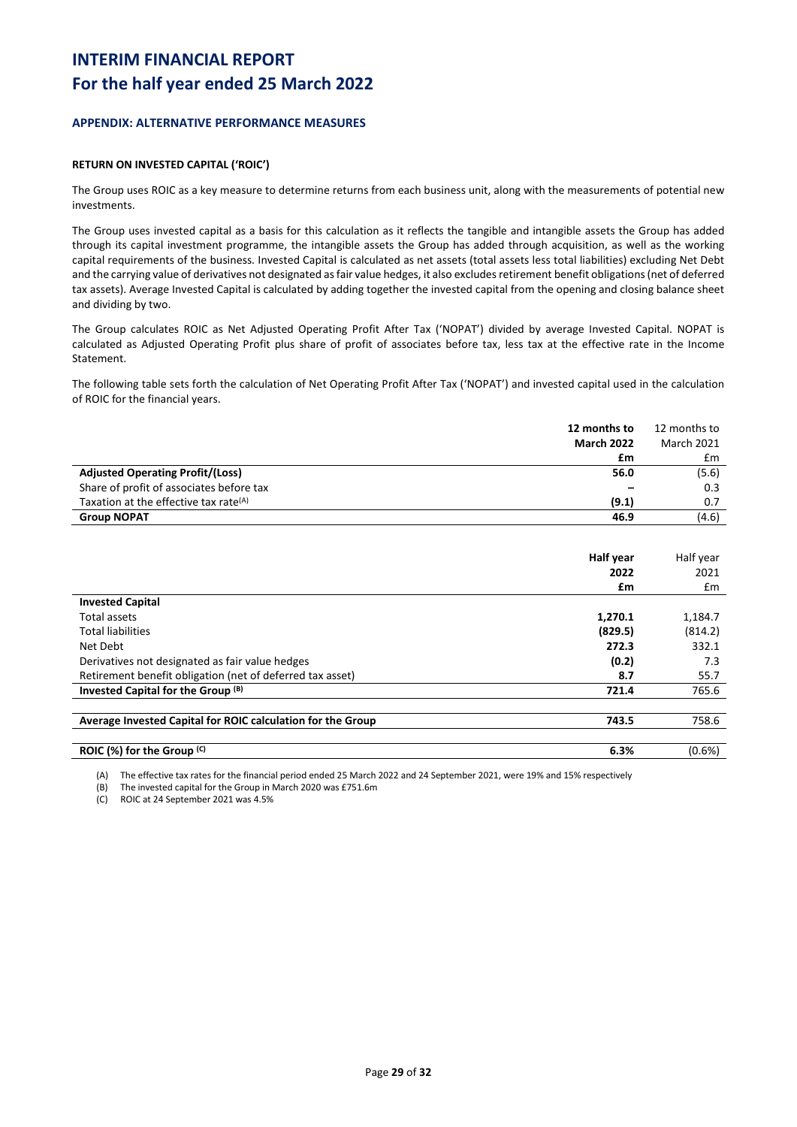### **APPENDIX: ALTERNATIVE PERFORMANCE MEASURES**

### **RETURN ON INVESTED CAPITAL ('ROIC')**

The Group uses ROIC as a key measure to determine returns from each business unit, along with the measurements of potential new investments.

The Group uses invested capital as a basis for this calculation as it reflects the tangible and intangible assets the Group has added through its capital investment programme, the intangible assets the Group has added through acquisition, as well as the working capital requirements of the business. Invested Capital is calculated as net assets (total assets less total liabilities) excluding Net Debt and the carrying value of derivatives not designated as fair value hedges, it also excludes retirement benefit obligations (net of deferred tax assets). Average Invested Capital is calculated by adding together the invested capital from the opening and closing balance sheet and dividing by two.

The Group calculates ROIC as Net Adjusted Operating Profit After Tax ('NOPAT') divided by average Invested Capital. NOPAT is calculated as Adjusted Operating Profit plus share of profit of associates before tax, less tax at the effective rate in the Income Statement.

The following table sets forth the calculation of Net Operating Profit After Tax ('NOPAT') and invested capital used in the calculation of ROIC for the financial years.

|                                                   | 12 months to      | 12 months to      |
|---------------------------------------------------|-------------------|-------------------|
|                                                   | <b>March 2022</b> | <b>March 2021</b> |
|                                                   | £m                | £m                |
| <b>Adjusted Operating Profit/(Loss)</b>           | 56.0              | (5.6)             |
| Share of profit of associates before tax          |                   | 0.3               |
| Taxation at the effective tax rate <sup>(A)</sup> | (9.1)             | 0.7               |
| <b>Group NOPAT</b>                                | 46.9              | (4.6)             |

|                                                             | Half year | Half year |
|-------------------------------------------------------------|-----------|-----------|
|                                                             | 2022      | 2021      |
|                                                             | £m        | £m        |
| <b>Invested Capital</b>                                     |           |           |
| Total assets                                                | 1,270.1   | 1,184.7   |
| <b>Total liabilities</b>                                    | (829.5)   | (814.2)   |
| Net Debt                                                    | 272.3     | 332.1     |
| Derivatives not designated as fair value hedges             | (0.2)     | 7.3       |
| Retirement benefit obligation (net of deferred tax asset)   | 8.7       | 55.7      |
| Invested Capital for the Group (B)                          | 721.4     | 765.6     |
|                                                             |           |           |
| Average Invested Capital for ROIC calculation for the Group | 743.5     | 758.6     |
|                                                             |           |           |
| ROIC (%) for the Group (C)                                  | 6.3%      | $(0.6\%)$ |

(A) The effective tax rates for the financial period ended 25 March 2022 and 24 September 2021, were 19% and 15% respectively

(B) The invested capital for the Group in March 2020 was £751.6m

(C) ROIC at 24 September 2021 was 4.5%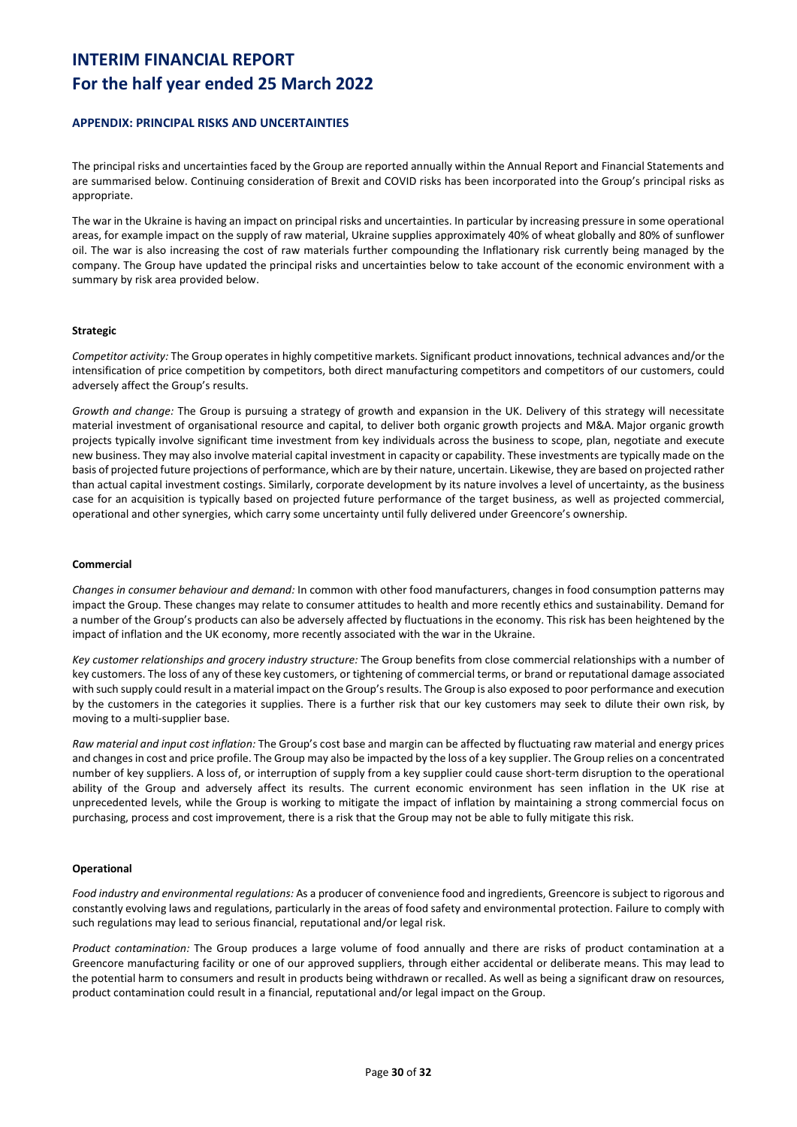### **APPENDIX: PRINCIPAL RISKS AND UNCERTAINTIES**

The principal risks and uncertainties faced by the Group are reported annually within the Annual Report and Financial Statements and are summarised below. Continuing consideration of Brexit and COVID risks has been incorporated into the Group's principal risks as appropriate.

The war in the Ukraine is having an impact on principal risks and uncertainties. In particular by increasing pressure in some operational areas, for example impact on the supply of raw material, Ukraine supplies approximately 40% of wheat globally and 80% of sunflower oil. The war is also increasing the cost of raw materials further compounding the Inflationary risk currently being managed by the company. The Group have updated the principal risks and uncertainties below to take account of the economic environment with a summary by risk area provided below.

### **Strategic**

*Competitor activity:* The Group operates in highly competitive markets. Significant product innovations, technical advances and/or the intensification of price competition by competitors, both direct manufacturing competitors and competitors of our customers, could adversely affect the Group's results.

*Growth and change:* The Group is pursuing a strategy of growth and expansion in the UK. Delivery of this strategy will necessitate material investment of organisational resource and capital, to deliver both organic growth projects and M&A. Major organic growth projects typically involve significant time investment from key individuals across the business to scope, plan, negotiate and execute new business. They may also involve material capital investment in capacity or capability. These investments are typically made on the basis of projected future projections of performance, which are by their nature, uncertain. Likewise, they are based on projected rather than actual capital investment costings. Similarly, corporate development by its nature involves a level of uncertainty, as the business case for an acquisition is typically based on projected future performance of the target business, as well as projected commercial, operational and other synergies, which carry some uncertainty until fully delivered under Greencore's ownership.

### **Commercial**

*Changes in consumer behaviour and demand:* In common with other food manufacturers, changes in food consumption patterns may impact the Group. These changes may relate to consumer attitudes to health and more recently ethics and sustainability. Demand for a number of the Group's products can also be adversely affected by fluctuations in the economy. This risk has been heightened by the impact of inflation and the UK economy, more recently associated with the war in the Ukraine.

*Key customer relationships and grocery industry structure:* The Group benefits from close commercial relationships with a number of key customers. The loss of any of these key customers, or tightening of commercial terms, or brand or reputational damage associated with such supply could result in a material impact on the Group's results. The Group is also exposed to poor performance and execution by the customers in the categories it supplies. There is a further risk that our key customers may seek to dilute their own risk, by moving to a multi-supplier base.

*Raw material and input cost inflation:* The Group's cost base and margin can be affected by fluctuating raw material and energy prices and changes in cost and price profile. The Group may also be impacted by the loss of a key supplier. The Group relies on a concentrated number of key suppliers. A loss of, or interruption of supply from a key supplier could cause short-term disruption to the operational ability of the Group and adversely affect its results. The current economic environment has seen inflation in the UK rise at unprecedented levels, while the Group is working to mitigate the impact of inflation by maintaining a strong commercial focus on purchasing, process and cost improvement, there is a risk that the Group may not be able to fully mitigate this risk.

#### **Operational**

*Food industry and environmental regulations:* As a producer of convenience food and ingredients, Greencore is subject to rigorous and constantly evolving laws and regulations, particularly in the areas of food safety and environmental protection. Failure to comply with such regulations may lead to serious financial, reputational and/or legal risk.

*Product contamination:* The Group produces a large volume of food annually and there are risks of product contamination at a Greencore manufacturing facility or one of our approved suppliers, through either accidental or deliberate means. This may lead to the potential harm to consumers and result in products being withdrawn or recalled. As well as being a significant draw on resources, product contamination could result in a financial, reputational and/or legal impact on the Group.